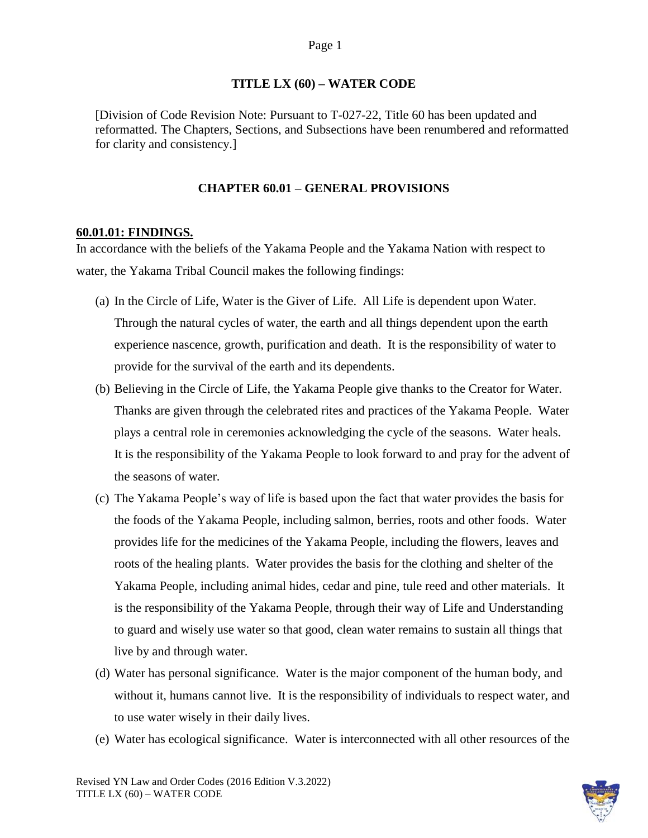#### Page 1

#### **TITLE LX (60) – WATER CODE**

[Division of Code Revision Note: Pursuant to T-027-22, Title 60 has been updated and reformatted. The Chapters, Sections, and Subsections have been renumbered and reformatted for clarity and consistency.]

### **CHAPTER 60.01 – GENERAL PROVISIONS**

#### **60.01.01: FINDINGS.**

In accordance with the beliefs of the Yakama People and the Yakama Nation with respect to water, the Yakama Tribal Council makes the following findings:

- (a) In the Circle of Life, Water is the Giver of Life. All Life is dependent upon Water. Through the natural cycles of water, the earth and all things dependent upon the earth experience nascence, growth, purification and death. It is the responsibility of water to provide for the survival of the earth and its dependents.
- (b) Believing in the Circle of Life, the Yakama People give thanks to the Creator for Water. Thanks are given through the celebrated rites and practices of the Yakama People. Water plays a central role in ceremonies acknowledging the cycle of the seasons. Water heals. It is the responsibility of the Yakama People to look forward to and pray for the advent of the seasons of water.
- (c) The Yakama People's way of life is based upon the fact that water provides the basis for the foods of the Yakama People, including salmon, berries, roots and other foods. Water provides life for the medicines of the Yakama People, including the flowers, leaves and roots of the healing plants. Water provides the basis for the clothing and shelter of the Yakama People, including animal hides, cedar and pine, tule reed and other materials. It is the responsibility of the Yakama People, through their way of Life and Understanding to guard and wisely use water so that good, clean water remains to sustain all things that live by and through water.
- (d) Water has personal significance. Water is the major component of the human body, and without it, humans cannot live. It is the responsibility of individuals to respect water, and to use water wisely in their daily lives.
- (e) Water has ecological significance. Water is interconnected with all other resources of the

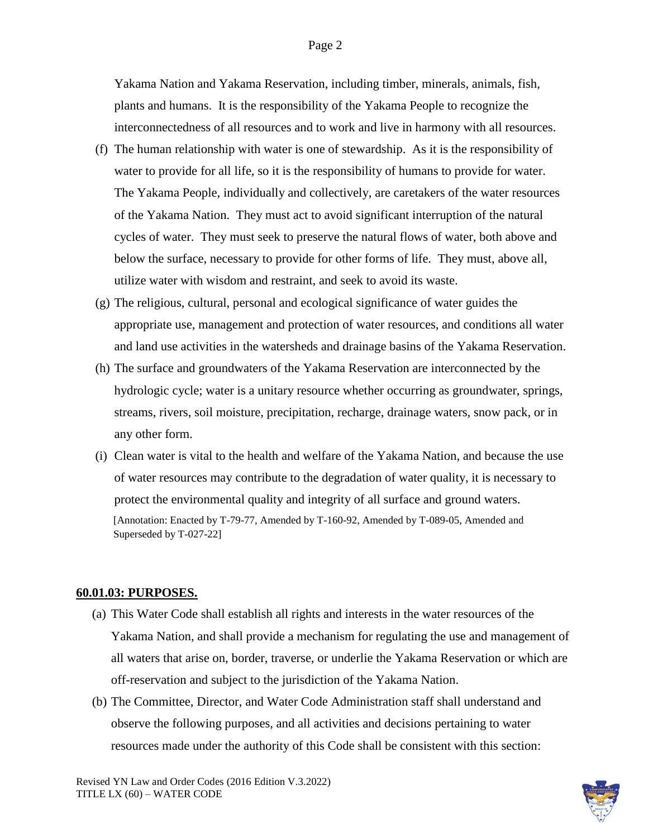#### Page 2

Yakama Nation and Yakama Reservation, including timber, minerals, animals, fish, plants and humans. It is the responsibility of the Yakama People to recognize the interconnectedness of all resources and to work and live in harmony with all resources.

- (f) The human relationship with water is one of stewardship. As it is the responsibility of water to provide for all life, so it is the responsibility of humans to provide for water. The Yakama People, individually and collectively, are caretakers of the water resources of the Yakama Nation. They must act to avoid significant interruption of the natural cycles of water. They must seek to preserve the natural flows of water, both above and below the surface, necessary to provide for other forms of life. They must, above all, utilize water with wisdom and restraint, and seek to avoid its waste.
- (g) The religious, cultural, personal and ecological significance of water guides the appropriate use, management and protection of water resources, and conditions all water and land use activities in the watersheds and drainage basins of the Yakama Reservation.
- (h) The surface and groundwaters of the Yakama Reservation are interconnected by the hydrologic cycle; water is a unitary resource whether occurring as groundwater, springs, streams, rivers, soil moisture, precipitation, recharge, drainage waters, snow pack, or in any other form.
- (i) Clean water is vital to the health and welfare of the Yakama Nation, and because the use of water resources may contribute to the degradation of water quality, it is necessary to protect the environmental quality and integrity of all surface and ground waters. [Annotation: Enacted by T-79-77, Amended by T-160-92, Amended by T-089-05, Amended and Superseded by T-027-22]

#### **60.01.03: PURPOSES.**

- (a) This Water Code shall establish all rights and interests in the water resources of the Yakama Nation, and shall provide a mechanism for regulating the use and management of all waters that arise on, border, traverse, or underlie the Yakama Reservation or which are off-reservation and subject to the jurisdiction of the Yakama Nation.
- (b) The Committee, Director, and Water Code Administration staff shall understand and observe the following purposes, and all activities and decisions pertaining to water resources made under the authority of this Code shall be consistent with this section:

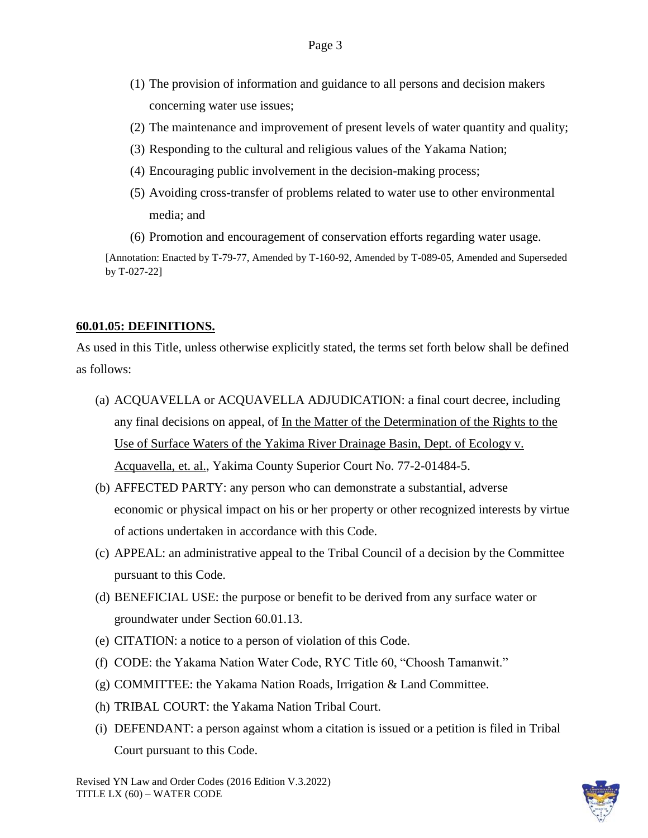- (1) The provision of information and guidance to all persons and decision makers concerning water use issues;
- (2) The maintenance and improvement of present levels of water quantity and quality;
- (3) Responding to the cultural and religious values of the Yakama Nation;
- (4) Encouraging public involvement in the decision-making process;
- (5) Avoiding cross-transfer of problems related to water use to other environmental media; and
- (6) Promotion and encouragement of conservation efforts regarding water usage.

### **60.01.05: DEFINITIONS.**

As used in this Title, unless otherwise explicitly stated, the terms set forth below shall be defined as follows:

- (a) ACQUAVELLA or ACQUAVELLA ADJUDICATION: a final court decree, including any final decisions on appeal, of In the Matter of the Determination of the Rights to the Use of Surface Waters of the Yakima River Drainage Basin, Dept. of Ecology v. Acquavella, et. al., Yakima County Superior Court No. 77-2-01484-5.
- (b) AFFECTED PARTY: any person who can demonstrate a substantial, adverse economic or physical impact on his or her property or other recognized interests by virtue of actions undertaken in accordance with this Code.
- (c) APPEAL: an administrative appeal to the Tribal Council of a decision by the Committee pursuant to this Code.
- (d) BENEFICIAL USE: the purpose or benefit to be derived from any surface water or groundwater under Section 60.01.13.
- (e) CITATION: a notice to a person of violation of this Code.
- (f) CODE: the Yakama Nation Water Code, RYC Title 60, "Choosh Tamanwit."
- (g) COMMITTEE: the Yakama Nation Roads, Irrigation & Land Committee.
- (h) TRIBAL COURT: the Yakama Nation Tribal Court.
- (i) DEFENDANT: a person against whom a citation is issued or a petition is filed in Tribal Court pursuant to this Code.

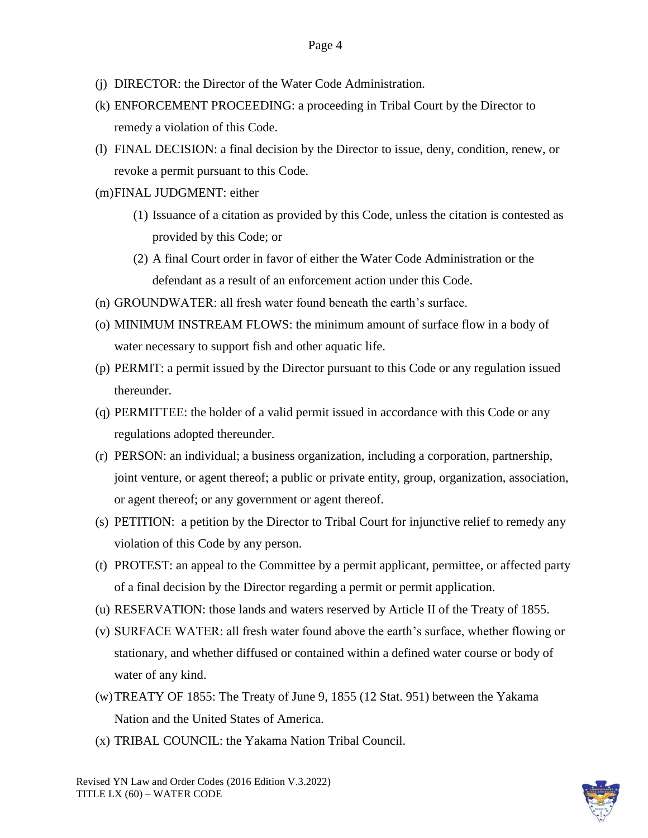- (j) DIRECTOR: the Director of the Water Code Administration.
- (k) ENFORCEMENT PROCEEDING: a proceeding in Tribal Court by the Director to remedy a violation of this Code.
- (l) FINAL DECISION: a final decision by the Director to issue, deny, condition, renew, or revoke a permit pursuant to this Code.
- (m)FINAL JUDGMENT: either
	- (1) Issuance of a citation as provided by this Code, unless the citation is contested as provided by this Code; or
	- (2) A final Court order in favor of either the Water Code Administration or the defendant as a result of an enforcement action under this Code.
- (n) GROUNDWATER: all fresh water found beneath the earth's surface.
- (o) MINIMUM INSTREAM FLOWS: the minimum amount of surface flow in a body of water necessary to support fish and other aquatic life.
- (p) PERMIT: a permit issued by the Director pursuant to this Code or any regulation issued thereunder.
- (q) PERMITTEE: the holder of a valid permit issued in accordance with this Code or any regulations adopted thereunder.
- (r) PERSON: an individual; a business organization, including a corporation, partnership, joint venture, or agent thereof; a public or private entity, group, organization, association, or agent thereof; or any government or agent thereof.
- (s) PETITION: a petition by the Director to Tribal Court for injunctive relief to remedy any violation of this Code by any person.
- (t) PROTEST: an appeal to the Committee by a permit applicant, permittee, or affected party of a final decision by the Director regarding a permit or permit application.
- (u) RESERVATION: those lands and waters reserved by Article II of the Treaty of 1855.
- (v) SURFACE WATER: all fresh water found above the earth's surface, whether flowing or stationary, and whether diffused or contained within a defined water course or body of water of any kind.
- (w)TREATY OF 1855: The Treaty of June 9, 1855 (12 Stat. 951) between the Yakama Nation and the United States of America.
- (x) TRIBAL COUNCIL: the Yakama Nation Tribal Council.

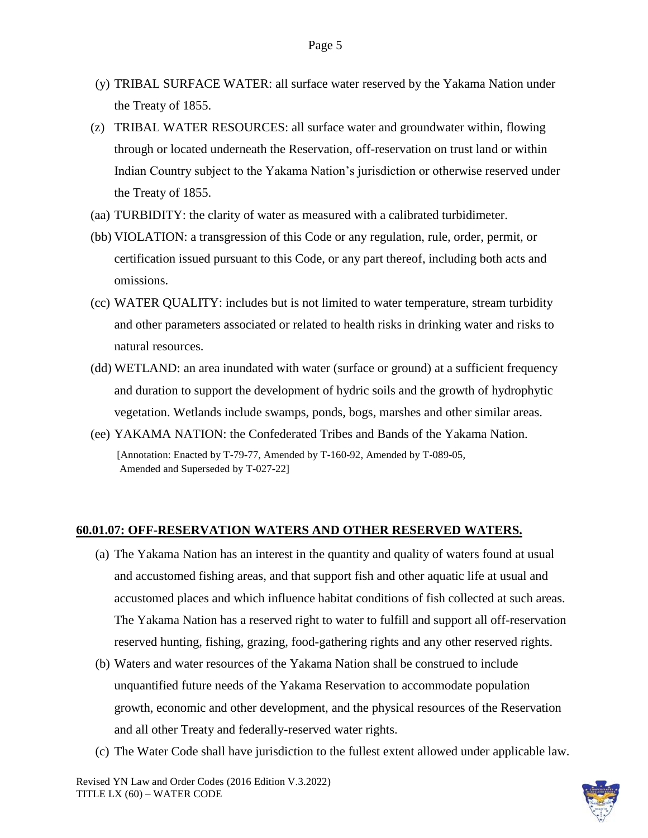- (y) TRIBAL SURFACE WATER: all surface water reserved by the Yakama Nation under the Treaty of 1855.
- (z) TRIBAL WATER RESOURCES: all surface water and groundwater within, flowing through or located underneath the Reservation, off-reservation on trust land or within Indian Country subject to the Yakama Nation's jurisdiction or otherwise reserved under the Treaty of 1855.
- (aa) TURBIDITY: the clarity of water as measured with a calibrated turbidimeter.
- (bb) VIOLATION: a transgression of this Code or any regulation, rule, order, permit, or certification issued pursuant to this Code, or any part thereof, including both acts and omissions.
- (cc) WATER QUALITY: includes but is not limited to water temperature, stream turbidity and other parameters associated or related to health risks in drinking water and risks to natural resources.
- (dd) WETLAND: an area inundated with water (surface or ground) at a sufficient frequency and duration to support the development of hydric soils and the growth of hydrophytic vegetation. Wetlands include swamps, ponds, bogs, marshes and other similar areas.
- (ee) YAKAMA NATION: the Confederated Tribes and Bands of the Yakama Nation. [Annotation: Enacted by T-79-77, Amended by T-160-92, Amended by T-089-05, Amended and Superseded by T-027-22]

### **60.01.07: OFF-RESERVATION WATERS AND OTHER RESERVED WATERS.**

- (a) The Yakama Nation has an interest in the quantity and quality of waters found at usual and accustomed fishing areas, and that support fish and other aquatic life at usual and accustomed places and which influence habitat conditions of fish collected at such areas. The Yakama Nation has a reserved right to water to fulfill and support all off-reservation reserved hunting, fishing, grazing, food-gathering rights and any other reserved rights.
- (b) Waters and water resources of the Yakama Nation shall be construed to include unquantified future needs of the Yakama Reservation to accommodate population growth, economic and other development, and the physical resources of the Reservation and all other Treaty and federally-reserved water rights.
- (c) The Water Code shall have jurisdiction to the fullest extent allowed under applicable law.

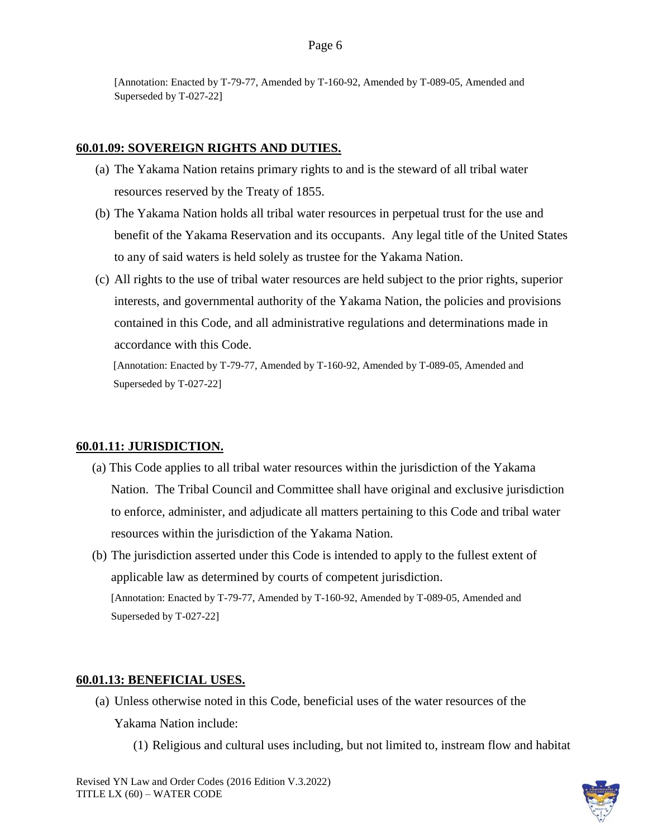#### **60.01.09: SOVEREIGN RIGHTS AND DUTIES.**

- (a) The Yakama Nation retains primary rights to and is the steward of all tribal water resources reserved by the Treaty of 1855.
- (b) The Yakama Nation holds all tribal water resources in perpetual trust for the use and benefit of the Yakama Reservation and its occupants. Any legal title of the United States to any of said waters is held solely as trustee for the Yakama Nation.
- (c) All rights to the use of tribal water resources are held subject to the prior rights, superior interests, and governmental authority of the Yakama Nation, the policies and provisions contained in this Code, and all administrative regulations and determinations made in accordance with this Code.

[Annotation: Enacted by T-79-77, Amended by T-160-92, Amended by T-089-05, Amended and Superseded by T-027-22]

### **60.01.11: JURISDICTION.**

- (a) This Code applies to all tribal water resources within the jurisdiction of the Yakama Nation. The Tribal Council and Committee shall have original and exclusive jurisdiction to enforce, administer, and adjudicate all matters pertaining to this Code and tribal water resources within the jurisdiction of the Yakama Nation.
- (b) The jurisdiction asserted under this Code is intended to apply to the fullest extent of applicable law as determined by courts of competent jurisdiction. [Annotation: Enacted by T-79-77, Amended by T-160-92, Amended by T-089-05, Amended and Superseded by T-027-22]

#### **60.01.13: BENEFICIAL USES.**

- (a) Unless otherwise noted in this Code, beneficial uses of the water resources of the Yakama Nation include:
	- (1) Religious and cultural uses including, but not limited to, instream flow and habitat

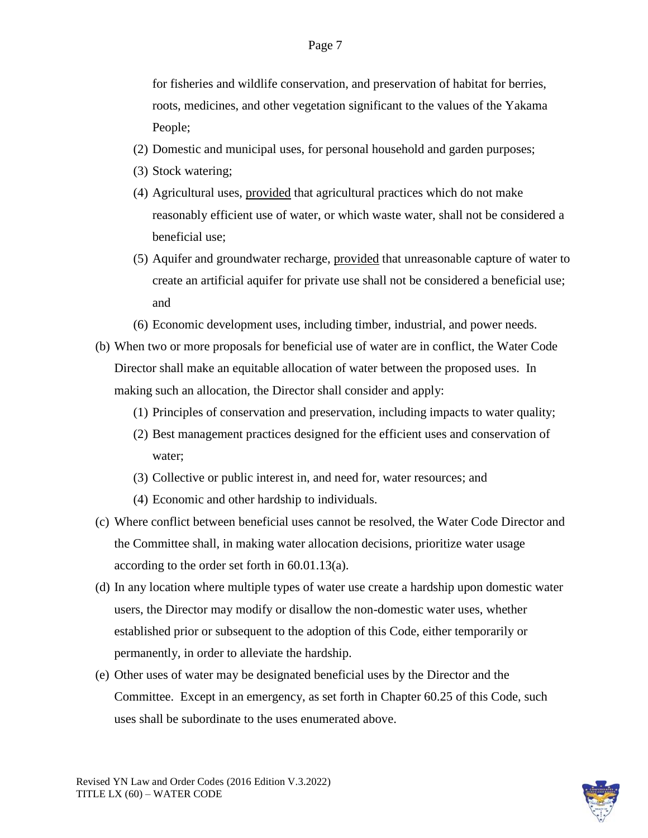for fisheries and wildlife conservation, and preservation of habitat for berries, roots, medicines, and other vegetation significant to the values of the Yakama People;

- (2) Domestic and municipal uses, for personal household and garden purposes;
- (3) Stock watering;
- (4) Agricultural uses, provided that agricultural practices which do not make reasonably efficient use of water, or which waste water, shall not be considered a beneficial use;
- (5) Aquifer and groundwater recharge, provided that unreasonable capture of water to create an artificial aquifer for private use shall not be considered a beneficial use; and
- (6) Economic development uses, including timber, industrial, and power needs.
- (b) When two or more proposals for beneficial use of water are in conflict, the Water Code Director shall make an equitable allocation of water between the proposed uses. In making such an allocation, the Director shall consider and apply:
	- (1) Principles of conservation and preservation, including impacts to water quality;
	- (2) Best management practices designed for the efficient uses and conservation of water;
	- (3) Collective or public interest in, and need for, water resources; and
	- (4) Economic and other hardship to individuals.
- (c) Where conflict between beneficial uses cannot be resolved, the Water Code Director and the Committee shall, in making water allocation decisions, prioritize water usage according to the order set forth in 60.01.13(a).
- (d) In any location where multiple types of water use create a hardship upon domestic water users, the Director may modify or disallow the non-domestic water uses, whether established prior or subsequent to the adoption of this Code, either temporarily or permanently, in order to alleviate the hardship.
- (e) Other uses of water may be designated beneficial uses by the Director and the Committee. Except in an emergency, as set forth in Chapter 60.25 of this Code, such uses shall be subordinate to the uses enumerated above.

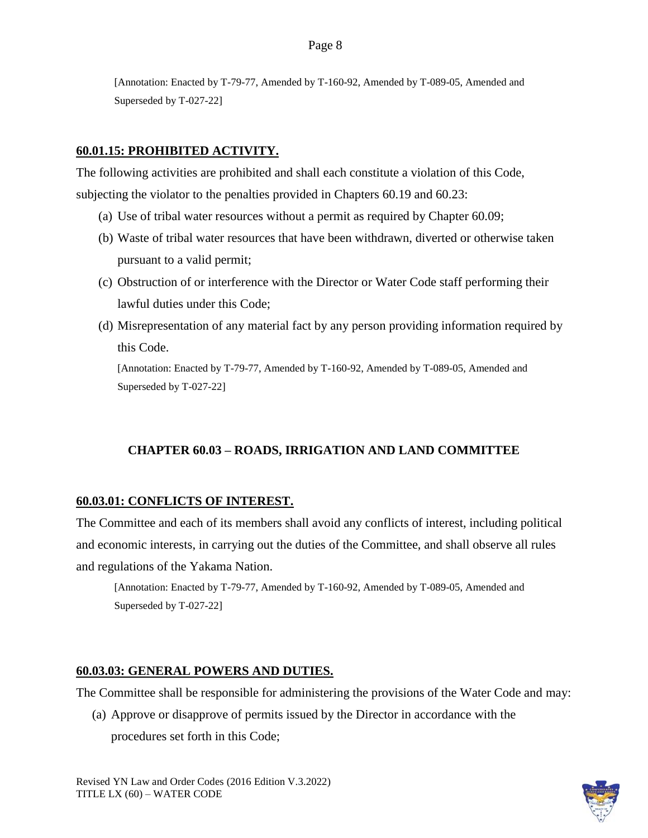### **60.01.15: PROHIBITED ACTIVITY.**

The following activities are prohibited and shall each constitute a violation of this Code, subjecting the violator to the penalties provided in Chapters 60.19 and 60.23:

- (a) Use of tribal water resources without a permit as required by Chapter 60.09;
- (b) Waste of tribal water resources that have been withdrawn, diverted or otherwise taken pursuant to a valid permit;
- (c) Obstruction of or interference with the Director or Water Code staff performing their lawful duties under this Code;
- (d) Misrepresentation of any material fact by any person providing information required by this Code.

[Annotation: Enacted by T-79-77, Amended by T-160-92, Amended by T-089-05, Amended and Superseded by T-027-22]

# **CHAPTER 60.03 – ROADS, IRRIGATION AND LAND COMMITTEE**

### **60.03.01: CONFLICTS OF INTEREST.**

The Committee and each of its members shall avoid any conflicts of interest, including political and economic interests, in carrying out the duties of the Committee, and shall observe all rules and regulations of the Yakama Nation.

[Annotation: Enacted by T-79-77, Amended by T-160-92, Amended by T-089-05, Amended and Superseded by T-027-22]

### **60.03.03: GENERAL POWERS AND DUTIES.**

The Committee shall be responsible for administering the provisions of the Water Code and may:

(a) Approve or disapprove of permits issued by the Director in accordance with the procedures set forth in this Code;

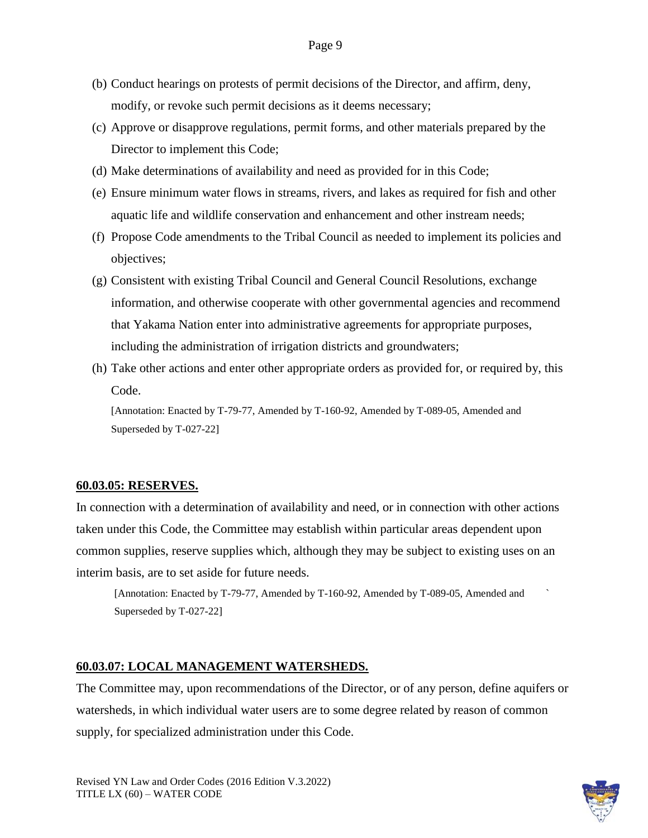- (b) Conduct hearings on protests of permit decisions of the Director, and affirm, deny, modify, or revoke such permit decisions as it deems necessary;
- (c) Approve or disapprove regulations, permit forms, and other materials prepared by the Director to implement this Code;
- (d) Make determinations of availability and need as provided for in this Code;
- (e) Ensure minimum water flows in streams, rivers, and lakes as required for fish and other aquatic life and wildlife conservation and enhancement and other instream needs;
- (f) Propose Code amendments to the Tribal Council as needed to implement its policies and objectives;
- (g) Consistent with existing Tribal Council and General Council Resolutions, exchange information, and otherwise cooperate with other governmental agencies and recommend that Yakama Nation enter into administrative agreements for appropriate purposes, including the administration of irrigation districts and groundwaters;
- (h) Take other actions and enter other appropriate orders as provided for, or required by, this Code.

### **60.03.05: RESERVES.**

In connection with a determination of availability and need, or in connection with other actions taken under this Code, the Committee may establish within particular areas dependent upon common supplies, reserve supplies which, although they may be subject to existing uses on an interim basis, are to set aside for future needs.

[Annotation: Enacted by T-79-77, Amended by T-160-92, Amended by T-089-05, Amended and ` Superseded by T-027-22]

### **60.03.07: LOCAL MANAGEMENT WATERSHEDS.**

The Committee may, upon recommendations of the Director, or of any person, define aquifers or watersheds, in which individual water users are to some degree related by reason of common supply, for specialized administration under this Code.

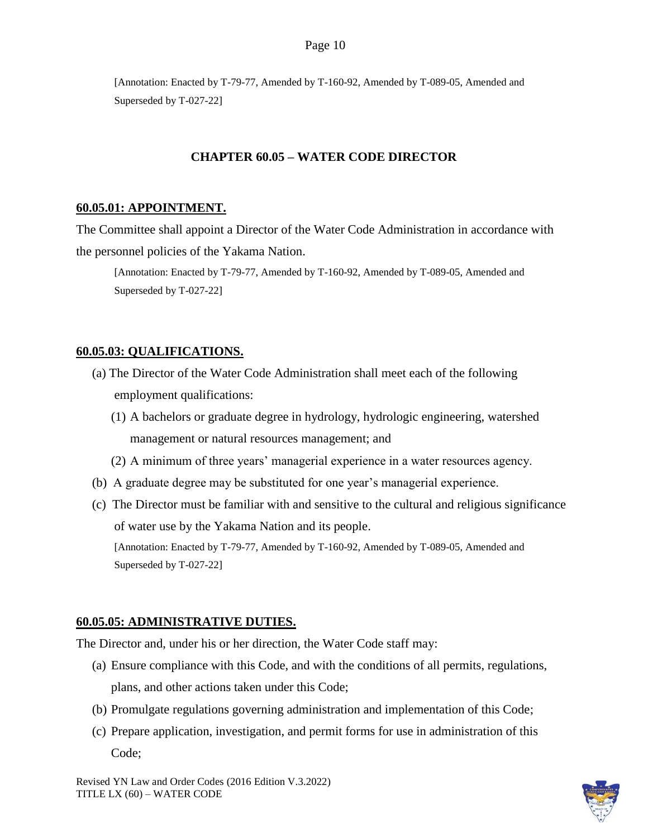### **CHAPTER 60.05 – WATER CODE DIRECTOR**

#### **60.05.01: APPOINTMENT.**

The Committee shall appoint a Director of the Water Code Administration in accordance with the personnel policies of the Yakama Nation.

[Annotation: Enacted by T-79-77, Amended by T-160-92, Amended by T-089-05, Amended and Superseded by T-027-22]

### **60.05.03: QUALIFICATIONS.**

- (a) The Director of the Water Code Administration shall meet each of the following employment qualifications:
	- (1) A bachelors or graduate degree in hydrology, hydrologic engineering, watershed management or natural resources management; and
	- (2) A minimum of three years' managerial experience in a water resources agency.
- (b) A graduate degree may be substituted for one year's managerial experience.
- (c) The Director must be familiar with and sensitive to the cultural and religious significance of water use by the Yakama Nation and its people. [Annotation: Enacted by T-79-77, Amended by T-160-92, Amended by T-089-05, Amended and Superseded by T-027-22]

#### **60.05.05: ADMINISTRATIVE DUTIES.**

The Director and, under his or her direction, the Water Code staff may:

- (a) Ensure compliance with this Code, and with the conditions of all permits, regulations, plans, and other actions taken under this Code;
- (b) Promulgate regulations governing administration and implementation of this Code;
- (c) Prepare application, investigation, and permit forms for use in administration of this Code;

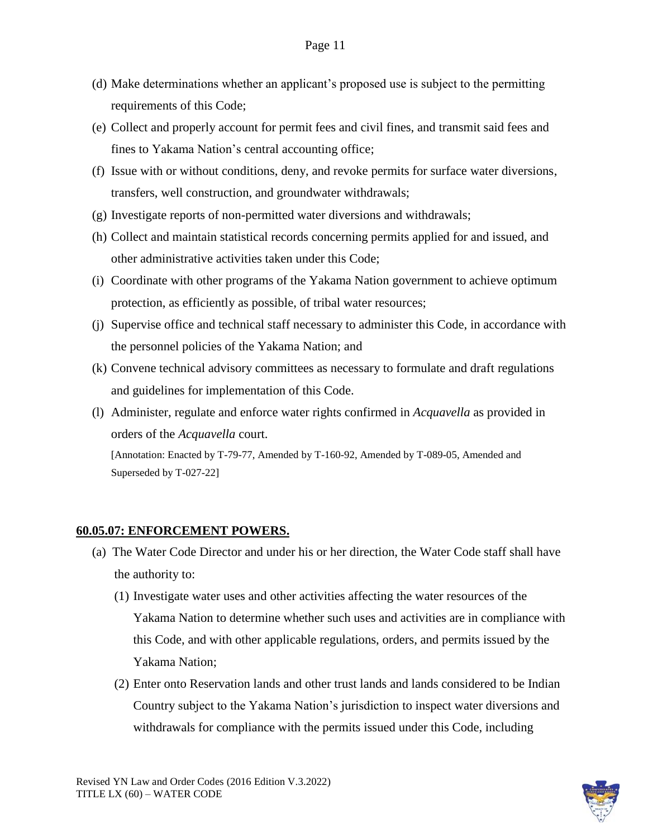- (d) Make determinations whether an applicant's proposed use is subject to the permitting requirements of this Code;
- (e) Collect and properly account for permit fees and civil fines, and transmit said fees and fines to Yakama Nation's central accounting office;
- (f) Issue with or without conditions, deny, and revoke permits for surface water diversions, transfers, well construction, and groundwater withdrawals;
- (g) Investigate reports of non-permitted water diversions and withdrawals;
- (h) Collect and maintain statistical records concerning permits applied for and issued, and other administrative activities taken under this Code;
- (i) Coordinate with other programs of the Yakama Nation government to achieve optimum protection, as efficiently as possible, of tribal water resources;
- (j) Supervise office and technical staff necessary to administer this Code, in accordance with the personnel policies of the Yakama Nation; and
- (k) Convene technical advisory committees as necessary to formulate and draft regulations and guidelines for implementation of this Code.
- (l) Administer, regulate and enforce water rights confirmed in *Acquavella* as provided in orders of the *Acquavella* court. [Annotation: Enacted by T-79-77, Amended by T-160-92, Amended by T-089-05, Amended and Superseded by T-027-22]

### **60.05.07: ENFORCEMENT POWERS.**

- (a) The Water Code Director and under his or her direction, the Water Code staff shall have the authority to:
	- (1) Investigate water uses and other activities affecting the water resources of the Yakama Nation to determine whether such uses and activities are in compliance with this Code, and with other applicable regulations, orders, and permits issued by the Yakama Nation;
	- (2) Enter onto Reservation lands and other trust lands and lands considered to be Indian Country subject to the Yakama Nation's jurisdiction to inspect water diversions and withdrawals for compliance with the permits issued under this Code, including

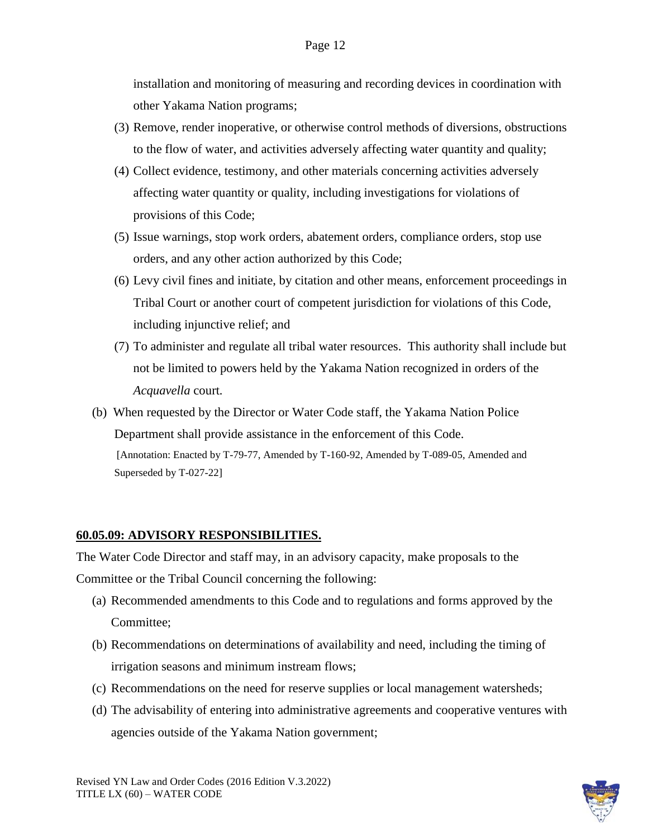installation and monitoring of measuring and recording devices in coordination with other Yakama Nation programs;

- (3) Remove, render inoperative, or otherwise control methods of diversions, obstructions to the flow of water, and activities adversely affecting water quantity and quality;
- (4) Collect evidence, testimony, and other materials concerning activities adversely affecting water quantity or quality, including investigations for violations of provisions of this Code;
- (5) Issue warnings, stop work orders, abatement orders, compliance orders, stop use orders, and any other action authorized by this Code;
- (6) Levy civil fines and initiate, by citation and other means, enforcement proceedings in Tribal Court or another court of competent jurisdiction for violations of this Code, including injunctive relief; and
- (7) To administer and regulate all tribal water resources. This authority shall include but not be limited to powers held by the Yakama Nation recognized in orders of the *Acquavella* court*.*
- (b) When requested by the Director or Water Code staff, the Yakama Nation Police Department shall provide assistance in the enforcement of this Code. [Annotation: Enacted by T-79-77, Amended by T-160-92, Amended by T-089-05, Amended and Superseded by T-027-22]

# **60.05.09: ADVISORY RESPONSIBILITIES.**

The Water Code Director and staff may, in an advisory capacity, make proposals to the Committee or the Tribal Council concerning the following:

- (a) Recommended amendments to this Code and to regulations and forms approved by the Committee;
- (b) Recommendations on determinations of availability and need, including the timing of irrigation seasons and minimum instream flows;
- (c) Recommendations on the need for reserve supplies or local management watersheds;
- (d) The advisability of entering into administrative agreements and cooperative ventures with agencies outside of the Yakama Nation government;

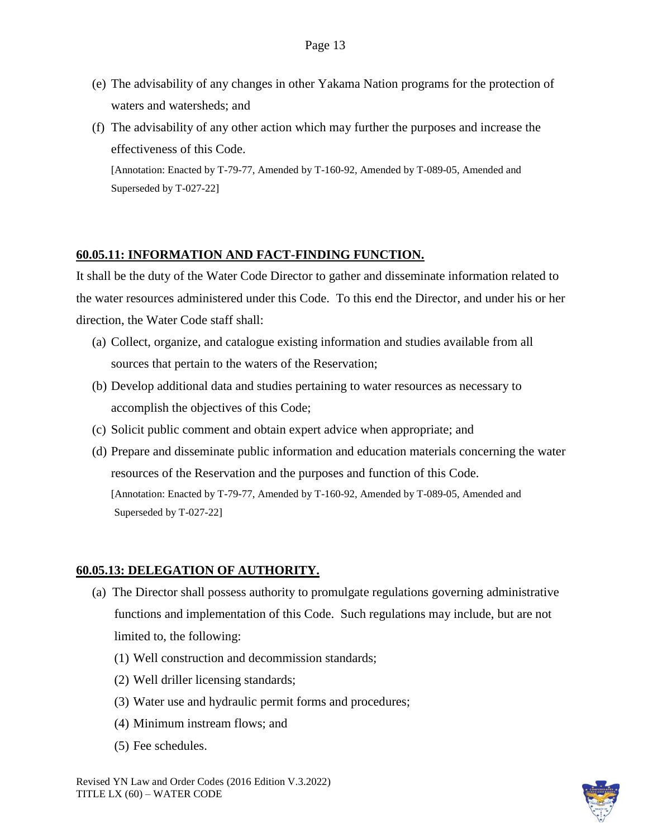- (e) The advisability of any changes in other Yakama Nation programs for the protection of waters and watersheds; and
- (f) The advisability of any other action which may further the purposes and increase the effectiveness of this Code.

# **60.05.11: INFORMATION AND FACT-FINDING FUNCTION.**

It shall be the duty of the Water Code Director to gather and disseminate information related to the water resources administered under this Code. To this end the Director, and under his or her direction, the Water Code staff shall:

- (a) Collect, organize, and catalogue existing information and studies available from all sources that pertain to the waters of the Reservation;
- (b) Develop additional data and studies pertaining to water resources as necessary to accomplish the objectives of this Code;
- (c) Solicit public comment and obtain expert advice when appropriate; and
- (d) Prepare and disseminate public information and education materials concerning the water resources of the Reservation and the purposes and function of this Code. [Annotation: Enacted by T-79-77, Amended by T-160-92, Amended by T-089-05, Amended and Superseded by T-027-22]

# **60.05.13: DELEGATION OF AUTHORITY.**

- (a) The Director shall possess authority to promulgate regulations governing administrative functions and implementation of this Code. Such regulations may include, but are not limited to, the following:
	- (1) Well construction and decommission standards;
	- (2) Well driller licensing standards;
	- (3) Water use and hydraulic permit forms and procedures;
	- (4) Minimum instream flows; and
	- (5) Fee schedules.

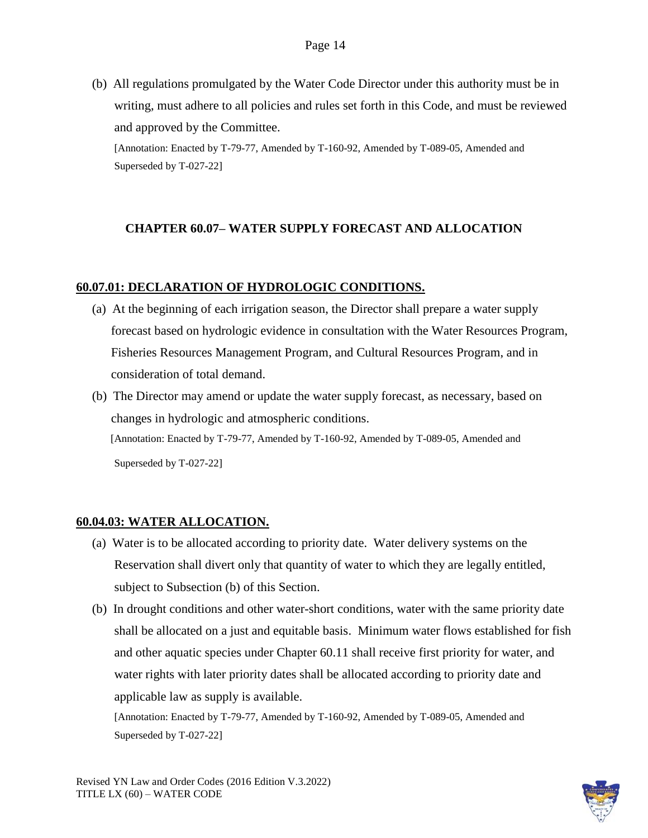(b) All regulations promulgated by the Water Code Director under this authority must be in writing, must adhere to all policies and rules set forth in this Code, and must be reviewed and approved by the Committee.

[Annotation: Enacted by T-79-77, Amended by T-160-92, Amended by T-089-05, Amended and Superseded by T-027-22]

# **CHAPTER 60.07– WATER SUPPLY FORECAST AND ALLOCATION**

### **60.07.01: DECLARATION OF HYDROLOGIC CONDITIONS.**

- (a) At the beginning of each irrigation season, the Director shall prepare a water supply forecast based on hydrologic evidence in consultation with the Water Resources Program, Fisheries Resources Management Program, and Cultural Resources Program, and in consideration of total demand.
- (b) The Director may amend or update the water supply forecast, as necessary, based on changes in hydrologic and atmospheric conditions. [Annotation: Enacted by T-79-77, Amended by T-160-92, Amended by T-089-05, Amended and Superseded by T-027-22]

### **60.04.03: WATER ALLOCATION.**

- (a) Water is to be allocated according to priority date. Water delivery systems on the Reservation shall divert only that quantity of water to which they are legally entitled, subject to Subsection (b) of this Section.
- (b) In drought conditions and other water-short conditions, water with the same priority date shall be allocated on a just and equitable basis. Minimum water flows established for fish and other aquatic species under Chapter 60.11 shall receive first priority for water, and water rights with later priority dates shall be allocated according to priority date and applicable law as supply is available.

[Annotation: Enacted by T-79-77, Amended by T-160-92, Amended by T-089-05, Amended and Superseded by T-027-22]

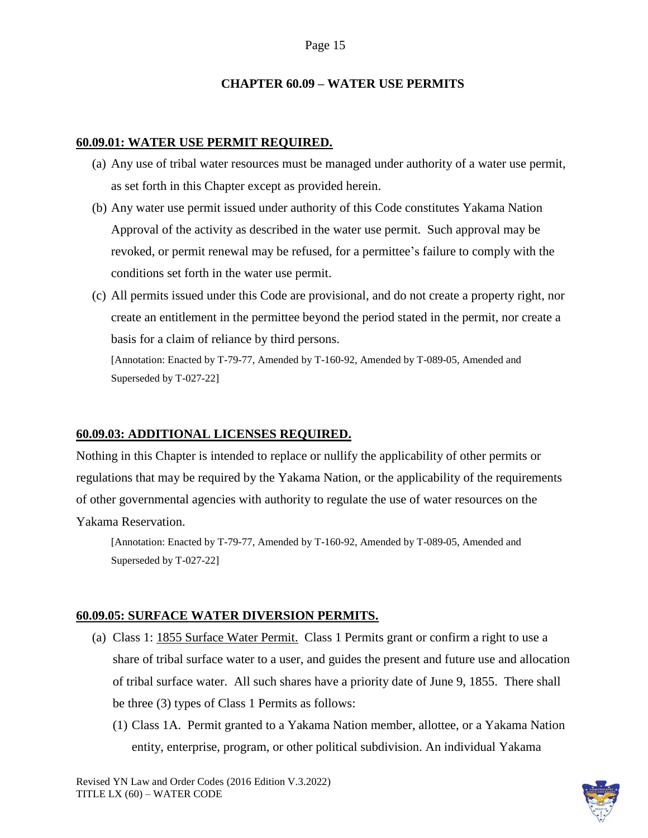### **CHAPTER 60.09 – WATER USE PERMITS**

#### **60.09.01: WATER USE PERMIT REQUIRED.**

- (a) Any use of tribal water resources must be managed under authority of a water use permit, as set forth in this Chapter except as provided herein.
- (b) Any water use permit issued under authority of this Code constitutes Yakama Nation Approval of the activity as described in the water use permit. Such approval may be revoked, or permit renewal may be refused, for a permittee's failure to comply with the conditions set forth in the water use permit.
- (c) All permits issued under this Code are provisional, and do not create a property right, nor create an entitlement in the permittee beyond the period stated in the permit, nor create a basis for a claim of reliance by third persons.

[Annotation: Enacted by T-79-77, Amended by T-160-92, Amended by T-089-05, Amended and Superseded by T-027-22]

### **60.09.03: ADDITIONAL LICENSES REQUIRED.**

Nothing in this Chapter is intended to replace or nullify the applicability of other permits or regulations that may be required by the Yakama Nation, or the applicability of the requirements of other governmental agencies with authority to regulate the use of water resources on the Yakama Reservation.

[Annotation: Enacted by T-79-77, Amended by T-160-92, Amended by T-089-05, Amended and Superseded by T-027-22]

### **60.09.05: SURFACE WATER DIVERSION PERMITS.**

- (a) Class 1: 1855 Surface Water Permit. Class 1 Permits grant or confirm a right to use a share of tribal surface water to a user, and guides the present and future use and allocation of tribal surface water. All such shares have a priority date of June 9, 1855. There shall be three (3) types of Class 1 Permits as follows:
	- (1) Class 1A. Permit granted to a Yakama Nation member, allottee, or a Yakama Nation entity, enterprise, program, or other political subdivision. An individual Yakama

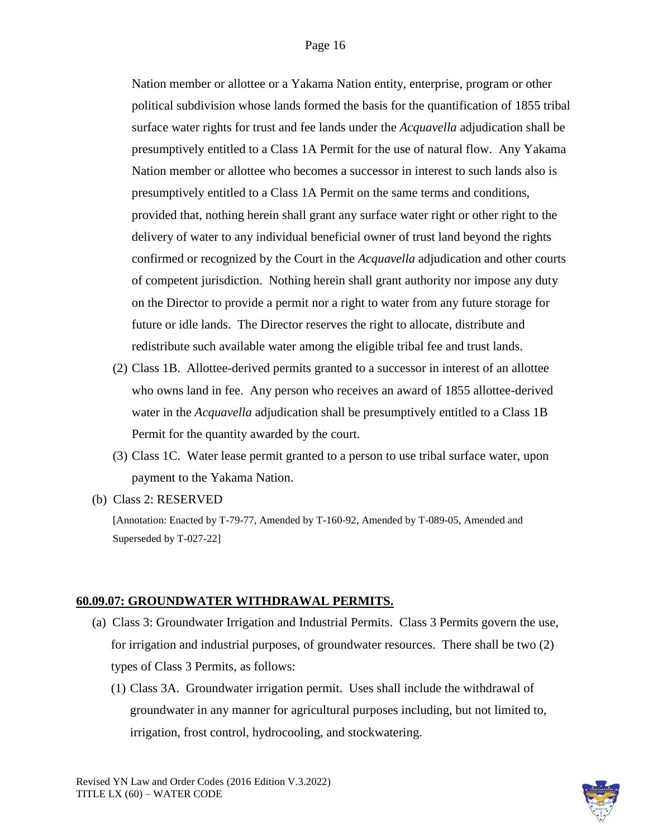Nation member or allottee or a Yakama Nation entity, enterprise, program or other political subdivision whose lands formed the basis for the quantification of 1855 tribal surface water rights for trust and fee lands under the *Acquavella* adjudication shall be presumptively entitled to a Class 1A Permit for the use of natural flow. Any Yakama Nation member or allottee who becomes a successor in interest to such lands also is presumptively entitled to a Class 1A Permit on the same terms and conditions, provided that, nothing herein shall grant any surface water right or other right to the delivery of water to any individual beneficial owner of trust land beyond the rights confirmed or recognized by the Court in the *Acquavella* adjudication and other courts of competent jurisdiction. Nothing herein shall grant authority nor impose any duty on the Director to provide a permit nor a right to water from any future storage for future or idle lands. The Director reserves the right to allocate, distribute and redistribute such available water among the eligible tribal fee and trust lands.

- (2) Class 1B. Allottee-derived permits granted to a successor in interest of an allottee who owns land in fee. Any person who receives an award of 1855 allottee-derived water in the *Acquavella* adjudication shall be presumptively entitled to a Class 1B Permit for the quantity awarded by the court.
- (3) Class 1C. Water lease permit granted to a person to use tribal surface water, upon payment to the Yakama Nation.
- (b) Class 2: RESERVED

[Annotation: Enacted by T-79-77, Amended by T-160-92, Amended by T-089-05, Amended and Superseded by T-027-22]

### **60.09.07: GROUNDWATER WITHDRAWAL PERMITS.**

- (a) Class 3: Groundwater Irrigation and Industrial Permits. Class 3 Permits govern the use, for irrigation and industrial purposes, of groundwater resources. There shall be two (2) types of Class 3 Permits, as follows:
	- (1) Class 3A. Groundwater irrigation permit. Uses shall include the withdrawal of groundwater in any manner for agricultural purposes including, but not limited to, irrigation, frost control, hydrocooling, and stockwatering.

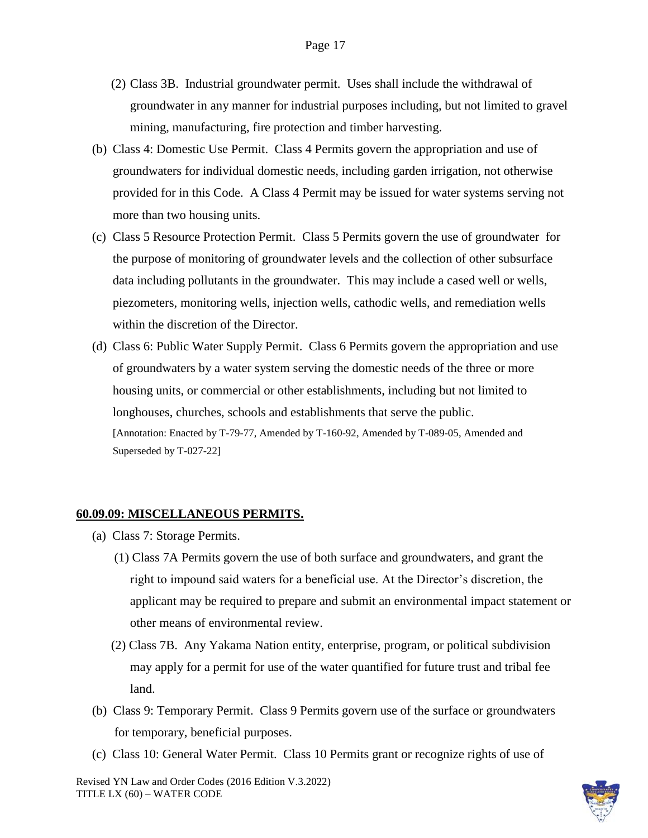- (2) Class 3B. Industrial groundwater permit. Uses shall include the withdrawal of groundwater in any manner for industrial purposes including, but not limited to gravel mining, manufacturing, fire protection and timber harvesting.
- (b) Class 4: Domestic Use Permit. Class 4 Permits govern the appropriation and use of groundwaters for individual domestic needs, including garden irrigation, not otherwise provided for in this Code. A Class 4 Permit may be issued for water systems serving not more than two housing units.
- (c) Class 5 Resource Protection Permit. Class 5 Permits govern the use of groundwater for the purpose of monitoring of groundwater levels and the collection of other subsurface data including pollutants in the groundwater. This may include a cased well or wells, piezometers, monitoring wells, injection wells, cathodic wells, and remediation wells within the discretion of the Director.
- (d) Class 6: Public Water Supply Permit. Class 6 Permits govern the appropriation and use of groundwaters by a water system serving the domestic needs of the three or more housing units, or commercial or other establishments, including but not limited to longhouses, churches, schools and establishments that serve the public. [Annotation: Enacted by T-79-77, Amended by T-160-92, Amended by T-089-05, Amended and Superseded by T-027-22]

#### **60.09.09: MISCELLANEOUS PERMITS.**

- (a) Class 7: Storage Permits.
	- (1) Class 7A Permits govern the use of both surface and groundwaters, and grant the right to impound said waters for a beneficial use. At the Director's discretion, the applicant may be required to prepare and submit an environmental impact statement or other means of environmental review.
	- (2) Class 7B. Any Yakama Nation entity, enterprise, program, or political subdivision may apply for a permit for use of the water quantified for future trust and tribal fee land.
- (b) Class 9: Temporary Permit. Class 9 Permits govern use of the surface or groundwaters for temporary, beneficial purposes.
- (c) Class 10: General Water Permit. Class 10 Permits grant or recognize rights of use of

Revised YN Law and Order Codes (2016 Edition V.3.2022) TITLE LX (60) – WATER CODE

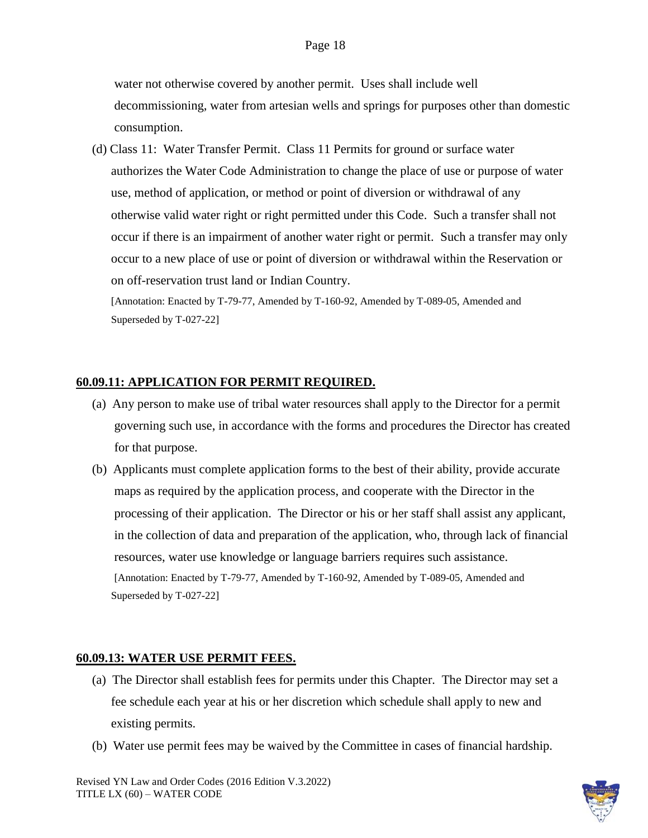water not otherwise covered by another permit. Uses shall include well decommissioning, water from artesian wells and springs for purposes other than domestic consumption.

 (d) Class 11: Water Transfer Permit. Class 11 Permits for ground or surface water authorizes the Water Code Administration to change the place of use or purpose of water use, method of application, or method or point of diversion or withdrawal of any otherwise valid water right or right permitted under this Code. Such a transfer shall not occur if there is an impairment of another water right or permit. Such a transfer may only occur to a new place of use or point of diversion or withdrawal within the Reservation or on off-reservation trust land or Indian Country.

[Annotation: Enacted by T-79-77, Amended by T-160-92, Amended by T-089-05, Amended and Superseded by T-027-22]

### **60.09.11: APPLICATION FOR PERMIT REQUIRED.**

- (a) Any person to make use of tribal water resources shall apply to the Director for a permit governing such use, in accordance with the forms and procedures the Director has created for that purpose.
- (b) Applicants must complete application forms to the best of their ability, provide accurate maps as required by the application process, and cooperate with the Director in the processing of their application. The Director or his or her staff shall assist any applicant, in the collection of data and preparation of the application, who, through lack of financial resources, water use knowledge or language barriers requires such assistance. [Annotation: Enacted by T-79-77, Amended by T-160-92, Amended by T-089-05, Amended and Superseded by T-027-22]

### **60.09.13: WATER USE PERMIT FEES.**

- (a) The Director shall establish fees for permits under this Chapter. The Director may set a fee schedule each year at his or her discretion which schedule shall apply to new and existing permits.
- (b) Water use permit fees may be waived by the Committee in cases of financial hardship.

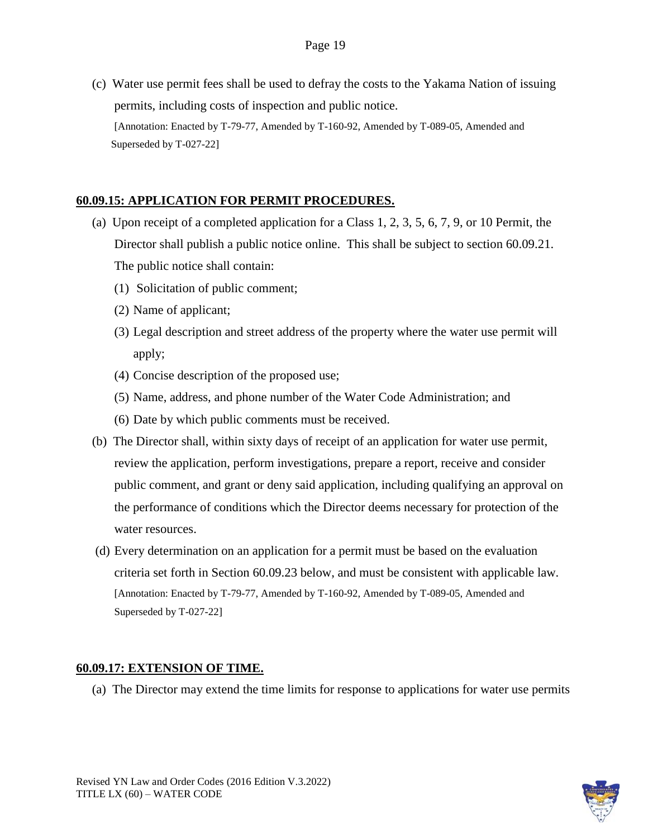(c) Water use permit fees shall be used to defray the costs to the Yakama Nation of issuing permits, including costs of inspection and public notice. [Annotation: Enacted by T-79-77, Amended by T-160-92, Amended by T-089-05, Amended and Superseded by T-027-22]

# **60.09.15: APPLICATION FOR PERMIT PROCEDURES.**

- (a) Upon receipt of a completed application for a Class 1, 2, 3, 5, 6, 7, 9, or 10 Permit, the Director shall publish a public notice online. This shall be subject to section 60.09.21. The public notice shall contain:
	- (1) Solicitation of public comment;
	- (2) Name of applicant;
	- (3) Legal description and street address of the property where the water use permit will apply;
	- (4) Concise description of the proposed use;
	- (5) Name, address, and phone number of the Water Code Administration; and
	- (6) Date by which public comments must be received.
- (b) The Director shall, within sixty days of receipt of an application for water use permit, review the application, perform investigations, prepare a report, receive and consider public comment, and grant or deny said application, including qualifying an approval on the performance of conditions which the Director deems necessary for protection of the water resources.
- (d) Every determination on an application for a permit must be based on the evaluation criteria set forth in Section 60.09.23 below, and must be consistent with applicable law. [Annotation: Enacted by T-79-77, Amended by T-160-92, Amended by T-089-05, Amended and Superseded by T-027-22]

# **60.09.17: EXTENSION OF TIME.**

(a) The Director may extend the time limits for response to applications for water use permits

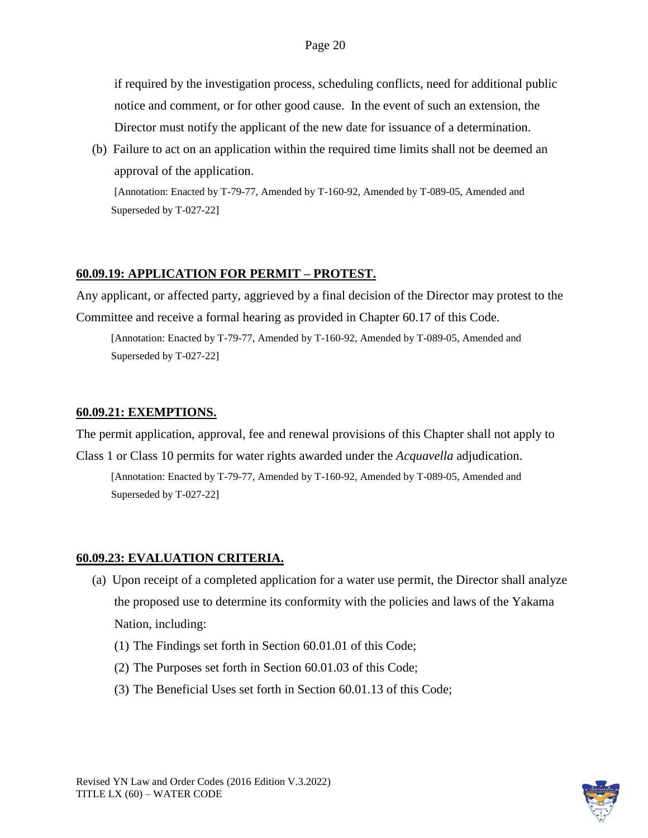if required by the investigation process, scheduling conflicts, need for additional public notice and comment, or for other good cause. In the event of such an extension, the Director must notify the applicant of the new date for issuance of a determination.

(b) Failure to act on an application within the required time limits shall not be deemed an approval of the application.

[Annotation: Enacted by T-79-77, Amended by T-160-92, Amended by T-089-05, Amended and Superseded by T-027-22]

# **60.09.19: APPLICATION FOR PERMIT – PROTEST.**

Any applicant, or affected party, aggrieved by a final decision of the Director may protest to the Committee and receive a formal hearing as provided in Chapter 60.17 of this Code.

[Annotation: Enacted by T-79-77, Amended by T-160-92, Amended by T-089-05, Amended and Superseded by T-027-22]

### **60.09.21: EXEMPTIONS.**

The permit application, approval, fee and renewal provisions of this Chapter shall not apply to

Class 1 or Class 10 permits for water rights awarded under the *Acquavella* adjudication. [Annotation: Enacted by T-79-77, Amended by T-160-92, Amended by T-089-05, Amended and Superseded by T-027-22]

# **60.09.23: EVALUATION CRITERIA.**

- (a) Upon receipt of a completed application for a water use permit, the Director shall analyze the proposed use to determine its conformity with the policies and laws of the Yakama Nation, including:
	- (1) The Findings set forth in Section 60.01.01 of this Code;
	- (2) The Purposes set forth in Section 60.01.03 of this Code;
	- (3) The Beneficial Uses set forth in Section 60.01.13 of this Code;

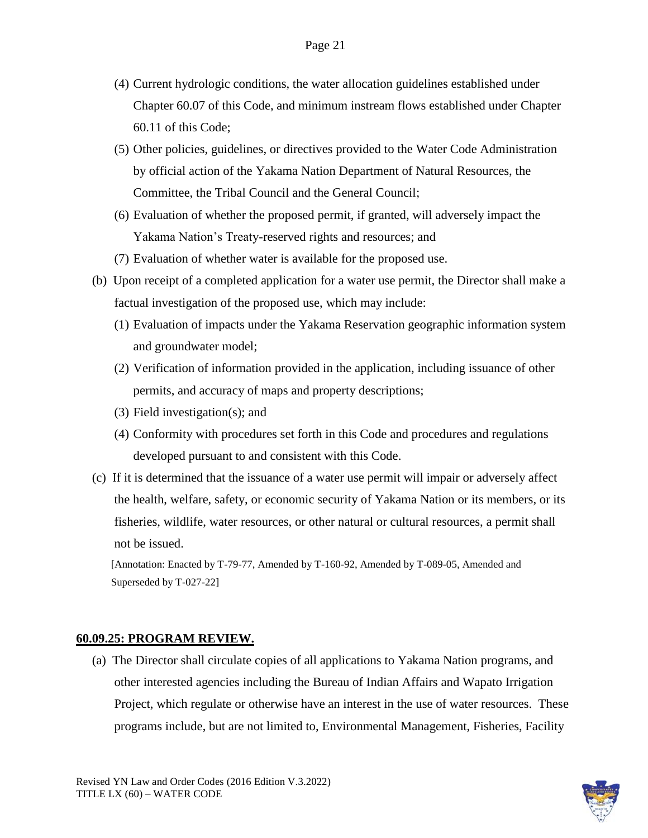- (4) Current hydrologic conditions, the water allocation guidelines established under Chapter 60.07 of this Code, and minimum instream flows established under Chapter 60.11 of this Code;
- (5) Other policies, guidelines, or directives provided to the Water Code Administration by official action of the Yakama Nation Department of Natural Resources, the Committee, the Tribal Council and the General Council;
- (6) Evaluation of whether the proposed permit, if granted, will adversely impact the Yakama Nation's Treaty-reserved rights and resources; and
- (7) Evaluation of whether water is available for the proposed use.
- (b) Upon receipt of a completed application for a water use permit, the Director shall make a factual investigation of the proposed use, which may include:
	- (1) Evaluation of impacts under the Yakama Reservation geographic information system and groundwater model;
	- (2) Verification of information provided in the application, including issuance of other permits, and accuracy of maps and property descriptions;
	- (3) Field investigation(s); and
	- (4) Conformity with procedures set forth in this Code and procedures and regulations developed pursuant to and consistent with this Code.
- (c) If it is determined that the issuance of a water use permit will impair or adversely affect the health, welfare, safety, or economic security of Yakama Nation or its members, or its fisheries, wildlife, water resources, or other natural or cultural resources, a permit shall not be issued.

### **60.09.25: PROGRAM REVIEW.**

(a) The Director shall circulate copies of all applications to Yakama Nation programs, and other interested agencies including the Bureau of Indian Affairs and Wapato Irrigation Project, which regulate or otherwise have an interest in the use of water resources. These programs include, but are not limited to, Environmental Management, Fisheries, Facility

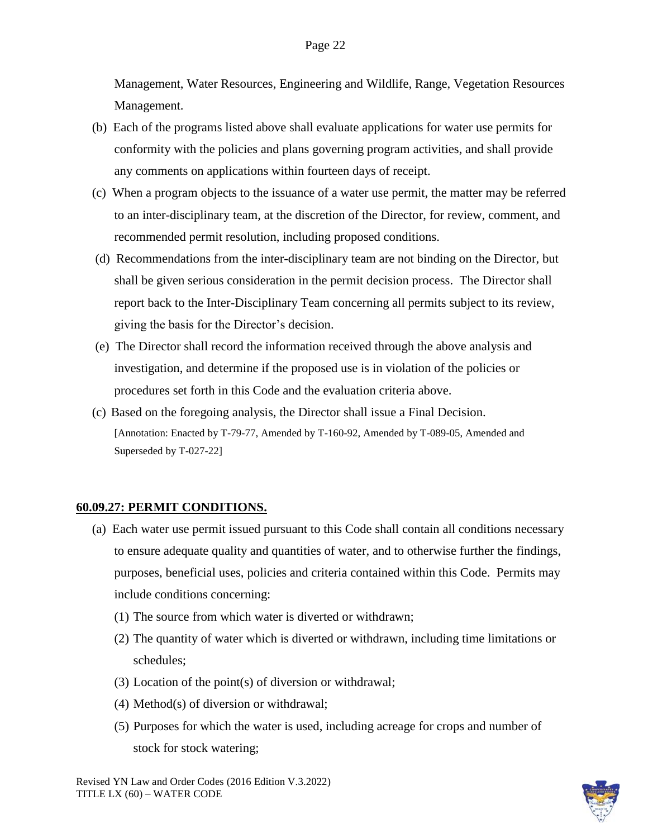Management, Water Resources, Engineering and Wildlife, Range, Vegetation Resources Management.

- (b) Each of the programs listed above shall evaluate applications for water use permits for conformity with the policies and plans governing program activities, and shall provide any comments on applications within fourteen days of receipt.
- (c) When a program objects to the issuance of a water use permit, the matter may be referred to an inter-disciplinary team, at the discretion of the Director, for review, comment, and recommended permit resolution, including proposed conditions.
- (d) Recommendations from the inter-disciplinary team are not binding on the Director, but shall be given serious consideration in the permit decision process. The Director shall report back to the Inter-Disciplinary Team concerning all permits subject to its review, giving the basis for the Director's decision.
- (e) The Director shall record the information received through the above analysis and investigation, and determine if the proposed use is in violation of the policies or procedures set forth in this Code and the evaluation criteria above.
- (c) Based on the foregoing analysis, the Director shall issue a Final Decision. [Annotation: Enacted by T-79-77, Amended by T-160-92, Amended by T-089-05, Amended and Superseded by T-027-22]

#### **60.09.27: PERMIT CONDITIONS.**

- (a) Each water use permit issued pursuant to this Code shall contain all conditions necessary to ensure adequate quality and quantities of water, and to otherwise further the findings, purposes, beneficial uses, policies and criteria contained within this Code. Permits may include conditions concerning:
	- (1) The source from which water is diverted or withdrawn;
	- (2) The quantity of water which is diverted or withdrawn, including time limitations or schedules;
	- (3) Location of the point(s) of diversion or withdrawal;
	- (4) Method(s) of diversion or withdrawal;
	- (5) Purposes for which the water is used, including acreage for crops and number of stock for stock watering;

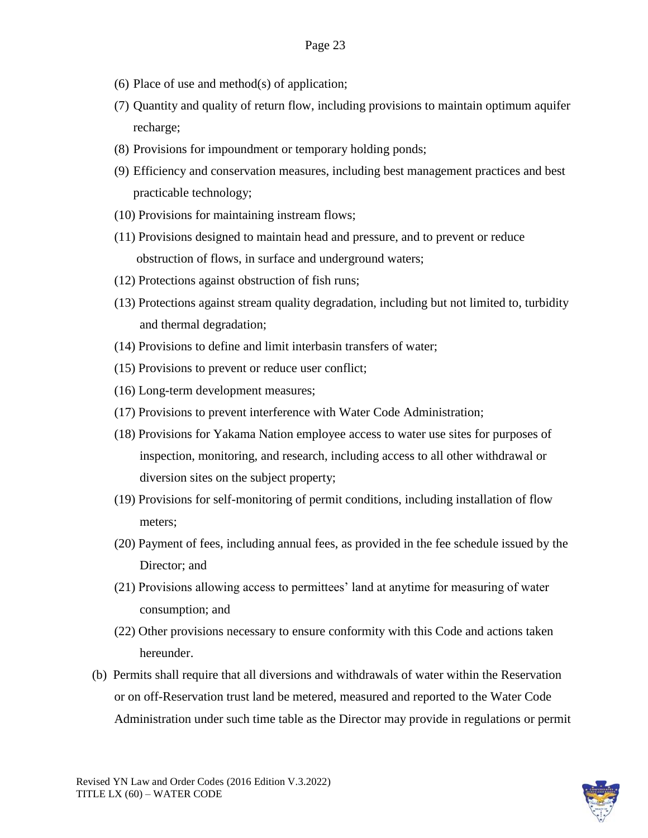- (6) Place of use and method(s) of application;
- (7) Quantity and quality of return flow, including provisions to maintain optimum aquifer recharge;
- (8) Provisions for impoundment or temporary holding ponds;
- (9) Efficiency and conservation measures, including best management practices and best practicable technology;
- (10) Provisions for maintaining instream flows;
- (11) Provisions designed to maintain head and pressure, and to prevent or reduce obstruction of flows, in surface and underground waters;
- (12) Protections against obstruction of fish runs;
- (13) Protections against stream quality degradation, including but not limited to, turbidity and thermal degradation;
- (14) Provisions to define and limit interbasin transfers of water;
- (15) Provisions to prevent or reduce user conflict;
- (16) Long-term development measures;
- (17) Provisions to prevent interference with Water Code Administration;
- (18) Provisions for Yakama Nation employee access to water use sites for purposes of inspection, monitoring, and research, including access to all other withdrawal or diversion sites on the subject property;
- (19) Provisions for self-monitoring of permit conditions, including installation of flow meters;
- (20) Payment of fees, including annual fees, as provided in the fee schedule issued by the Director; and
- (21) Provisions allowing access to permittees' land at anytime for measuring of water consumption; and
- (22) Other provisions necessary to ensure conformity with this Code and actions taken hereunder.
- (b) Permits shall require that all diversions and withdrawals of water within the Reservation or on off-Reservation trust land be metered, measured and reported to the Water Code Administration under such time table as the Director may provide in regulations or permit

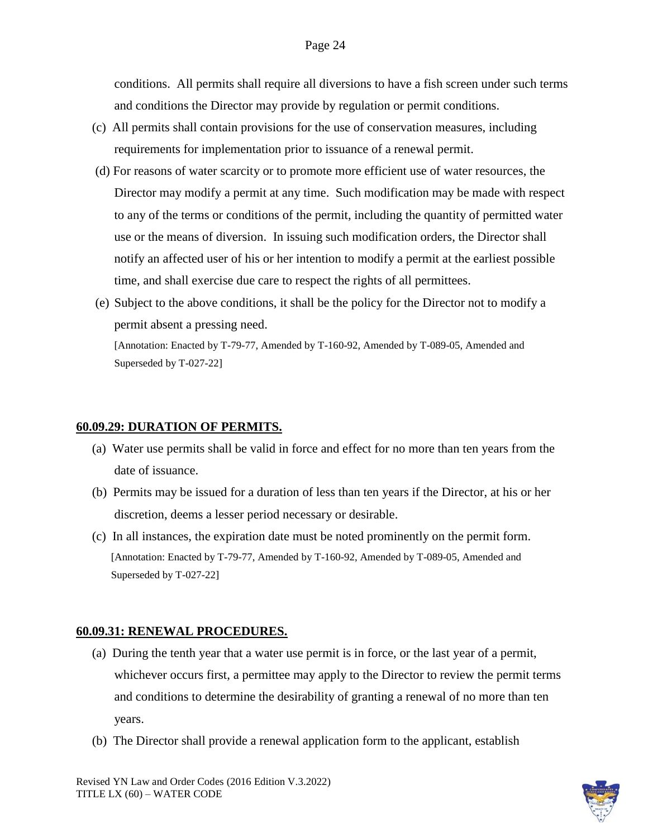conditions. All permits shall require all diversions to have a fish screen under such terms and conditions the Director may provide by regulation or permit conditions.

- (c) All permits shall contain provisions for the use of conservation measures, including requirements for implementation prior to issuance of a renewal permit.
- (d) For reasons of water scarcity or to promote more efficient use of water resources, the Director may modify a permit at any time. Such modification may be made with respect to any of the terms or conditions of the permit, including the quantity of permitted water use or the means of diversion. In issuing such modification orders, the Director shall notify an affected user of his or her intention to modify a permit at the earliest possible time, and shall exercise due care to respect the rights of all permittees.
- (e) Subject to the above conditions, it shall be the policy for the Director not to modify a permit absent a pressing need.

[Annotation: Enacted by T-79-77, Amended by T-160-92, Amended by T-089-05, Amended and Superseded by T-027-22]

### **60.09.29: DURATION OF PERMITS.**

- (a) Water use permits shall be valid in force and effect for no more than ten years from the date of issuance.
- (b) Permits may be issued for a duration of less than ten years if the Director, at his or her discretion, deems a lesser period necessary or desirable.
- (c) In all instances, the expiration date must be noted prominently on the permit form. [Annotation: Enacted by T-79-77, Amended by T-160-92, Amended by T-089-05, Amended and Superseded by T-027-22]

### **60.09.31: RENEWAL PROCEDURES.**

- (a) During the tenth year that a water use permit is in force, or the last year of a permit, whichever occurs first, a permittee may apply to the Director to review the permit terms and conditions to determine the desirability of granting a renewal of no more than ten years.
- (b) The Director shall provide a renewal application form to the applicant, establish

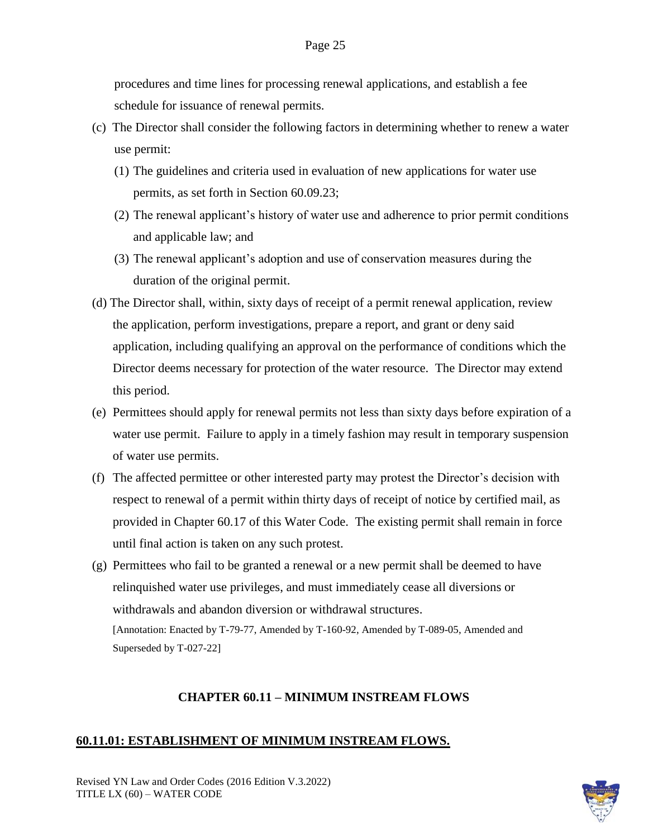procedures and time lines for processing renewal applications, and establish a fee schedule for issuance of renewal permits.

- (c) The Director shall consider the following factors in determining whether to renew a water use permit:
	- (1) The guidelines and criteria used in evaluation of new applications for water use permits, as set forth in Section 60.09.23;
	- (2) The renewal applicant's history of water use and adherence to prior permit conditions and applicable law; and
	- (3) The renewal applicant's adoption and use of conservation measures during the duration of the original permit.
- (d) The Director shall, within, sixty days of receipt of a permit renewal application, review the application, perform investigations, prepare a report, and grant or deny said application, including qualifying an approval on the performance of conditions which the Director deems necessary for protection of the water resource. The Director may extend this period.
- (e) Permittees should apply for renewal permits not less than sixty days before expiration of a water use permit. Failure to apply in a timely fashion may result in temporary suspension of water use permits.
- (f) The affected permittee or other interested party may protest the Director's decision with respect to renewal of a permit within thirty days of receipt of notice by certified mail, as provided in Chapter 60.17 of this Water Code. The existing permit shall remain in force until final action is taken on any such protest.
- (g) Permittees who fail to be granted a renewal or a new permit shall be deemed to have relinquished water use privileges, and must immediately cease all diversions or withdrawals and abandon diversion or withdrawal structures. [Annotation: Enacted by T-79-77, Amended by T-160-92, Amended by T-089-05, Amended and Superseded by T-027-22]

### **CHAPTER 60.11 – MINIMUM INSTREAM FLOWS**

#### **60.11.01: ESTABLISHMENT OF MINIMUM INSTREAM FLOWS.**

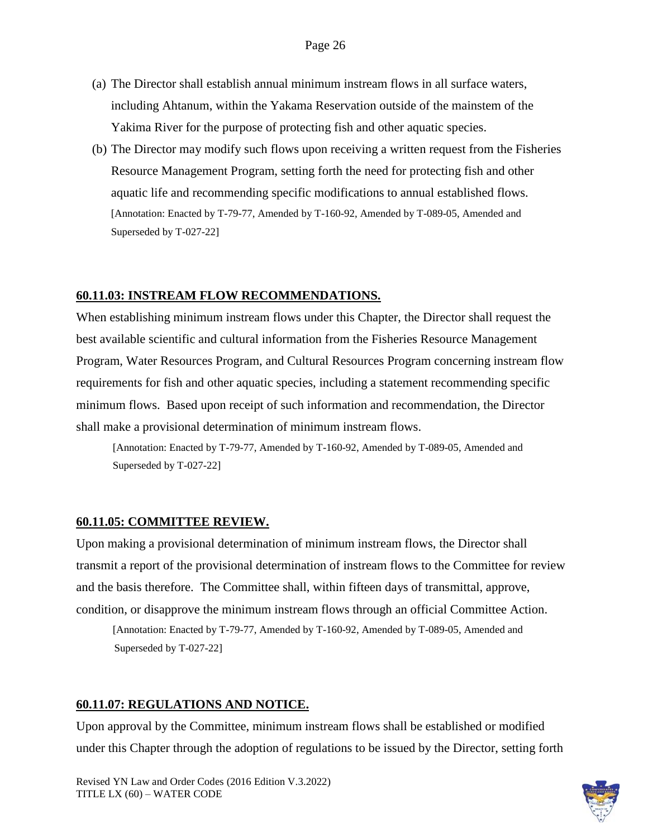- (a) The Director shall establish annual minimum instream flows in all surface waters, including Ahtanum, within the Yakama Reservation outside of the mainstem of the Yakima River for the purpose of protecting fish and other aquatic species.
- (b) The Director may modify such flows upon receiving a written request from the Fisheries Resource Management Program, setting forth the need for protecting fish and other aquatic life and recommending specific modifications to annual established flows. [Annotation: Enacted by T-79-77, Amended by T-160-92, Amended by T-089-05, Amended and Superseded by T-027-22]

#### **60.11.03: INSTREAM FLOW RECOMMENDATIONS.**

When establishing minimum instream flows under this Chapter, the Director shall request the best available scientific and cultural information from the Fisheries Resource Management Program, Water Resources Program, and Cultural Resources Program concerning instream flow requirements for fish and other aquatic species, including a statement recommending specific minimum flows. Based upon receipt of such information and recommendation, the Director shall make a provisional determination of minimum instream flows.

[Annotation: Enacted by T-79-77, Amended by T-160-92, Amended by T-089-05, Amended and Superseded by T-027-22]

#### **60.11.05: COMMITTEE REVIEW.**

Upon making a provisional determination of minimum instream flows, the Director shall transmit a report of the provisional determination of instream flows to the Committee for review and the basis therefore. The Committee shall, within fifteen days of transmittal, approve, condition, or disapprove the minimum instream flows through an official Committee Action.

[Annotation: Enacted by T-79-77, Amended by T-160-92, Amended by T-089-05, Amended and Superseded by T-027-22]

#### **60.11.07: REGULATIONS AND NOTICE.**

Upon approval by the Committee, minimum instream flows shall be established or modified under this Chapter through the adoption of regulations to be issued by the Director, setting forth

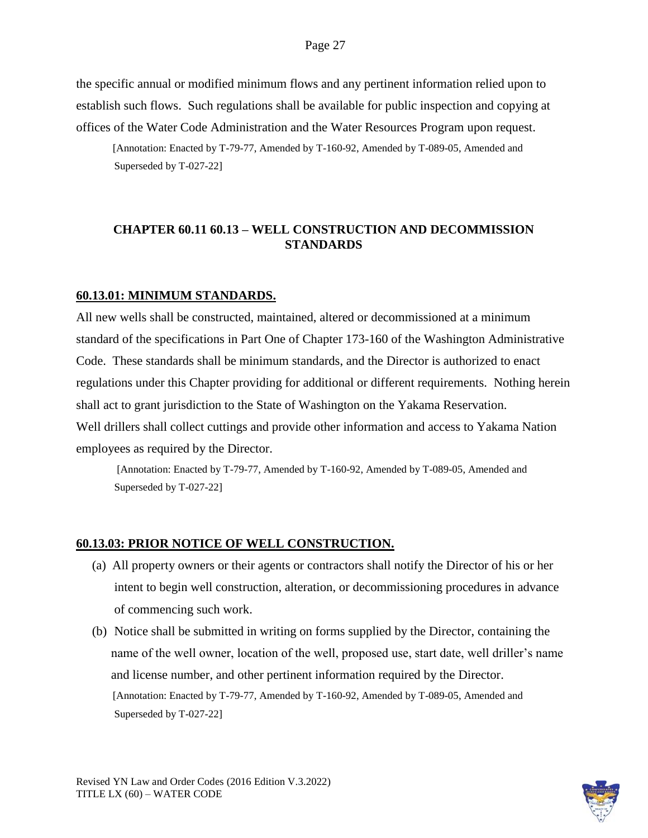the specific annual or modified minimum flows and any pertinent information relied upon to establish such flows. Such regulations shall be available for public inspection and copying at offices of the Water Code Administration and the Water Resources Program upon request.

[Annotation: Enacted by T-79-77, Amended by T-160-92, Amended by T-089-05, Amended and Superseded by T-027-22]

# **CHAPTER 60.11 60.13 – WELL CONSTRUCTION AND DECOMMISSION STANDARDS**

### **60.13.01: MINIMUM STANDARDS.**

All new wells shall be constructed, maintained, altered or decommissioned at a minimum standard of the specifications in Part One of Chapter 173-160 of the Washington Administrative Code. These standards shall be minimum standards, and the Director is authorized to enact regulations under this Chapter providing for additional or different requirements. Nothing herein shall act to grant jurisdiction to the State of Washington on the Yakama Reservation. Well drillers shall collect cuttings and provide other information and access to Yakama Nation employees as required by the Director.

[Annotation: Enacted by T-79-77, Amended by T-160-92, Amended by T-089-05, Amended and Superseded by T-027-22]

### **60.13.03: PRIOR NOTICE OF WELL CONSTRUCTION.**

- (a) All property owners or their agents or contractors shall notify the Director of his or her intent to begin well construction, alteration, or decommissioning procedures in advance of commencing such work.
- (b) Notice shall be submitted in writing on forms supplied by the Director, containing the name of the well owner, location of the well, proposed use, start date, well driller's name and license number, and other pertinent information required by the Director. [Annotation: Enacted by T-79-77, Amended by T-160-92, Amended by T-089-05, Amended and Superseded by T-027-22]

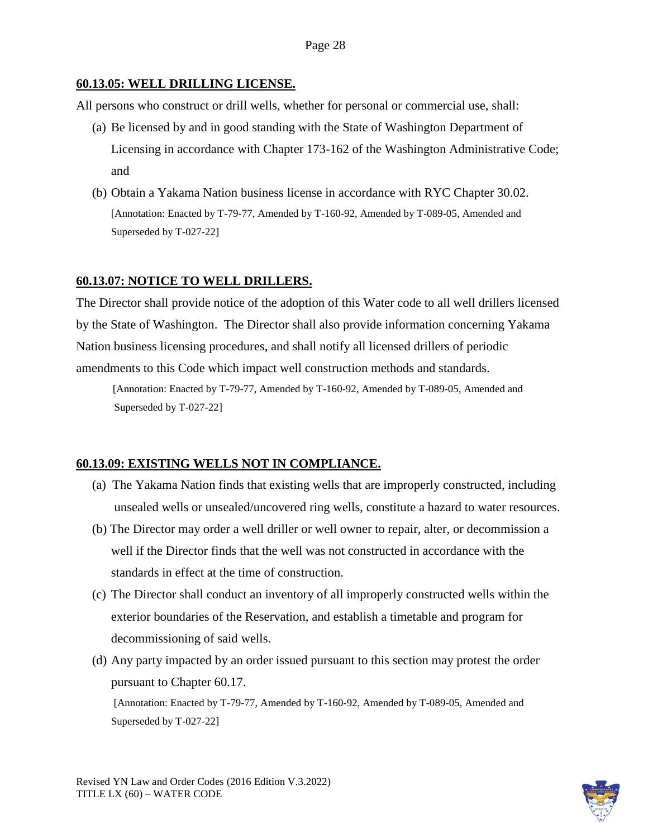### **60.13.05: WELL DRILLING LICENSE.**

All persons who construct or drill wells, whether for personal or commercial use, shall:

- (a) Be licensed by and in good standing with the State of Washington Department of Licensing in accordance with Chapter 173-162 of the Washington Administrative Code; and
- (b) Obtain a Yakama Nation business license in accordance with RYC Chapter 30.02. [Annotation: Enacted by T-79-77, Amended by T-160-92, Amended by T-089-05, Amended and Superseded by T-027-22]

### **60.13.07: NOTICE TO WELL DRILLERS.**

The Director shall provide notice of the adoption of this Water code to all well drillers licensed by the State of Washington. The Director shall also provide information concerning Yakama Nation business licensing procedures, and shall notify all licensed drillers of periodic amendments to this Code which impact well construction methods and standards.

[Annotation: Enacted by T-79-77, Amended by T-160-92, Amended by T-089-05, Amended and Superseded by T-027-22]

### **60.13.09: EXISTING WELLS NOT IN COMPLIANCE.**

- (a) The Yakama Nation finds that existing wells that are improperly constructed, including unsealed wells or unsealed/uncovered ring wells, constitute a hazard to water resources.
- (b) The Director may order a well driller or well owner to repair, alter, or decommission a well if the Director finds that the well was not constructed in accordance with the standards in effect at the time of construction.
- (c) The Director shall conduct an inventory of all improperly constructed wells within the exterior boundaries of the Reservation, and establish a timetable and program for decommissioning of said wells.
- (d) Any party impacted by an order issued pursuant to this section may protest the order pursuant to Chapter 60.17.

[Annotation: Enacted by T-79-77, Amended by T-160-92, Amended by T-089-05, Amended and Superseded by T-027-22]

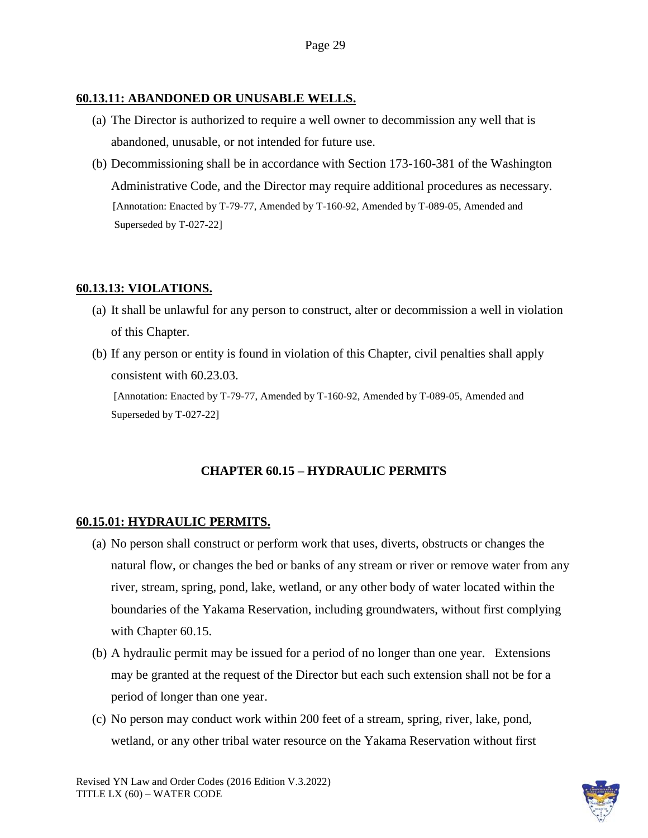### **60.13.11: ABANDONED OR UNUSABLE WELLS.**

- (a) The Director is authorized to require a well owner to decommission any well that is abandoned, unusable, or not intended for future use.
- (b) Decommissioning shall be in accordance with Section 173-160-381 of the Washington Administrative Code, and the Director may require additional procedures as necessary. [Annotation: Enacted by T-79-77, Amended by T-160-92, Amended by T-089-05, Amended and Superseded by T-027-22]

# **60.13.13: VIOLATIONS.**

- (a) It shall be unlawful for any person to construct, alter or decommission a well in violation of this Chapter.
- (b) If any person or entity is found in violation of this Chapter, civil penalties shall apply consistent with 60.23.03.

[Annotation: Enacted by T-79-77, Amended by T-160-92, Amended by T-089-05, Amended and Superseded by T-027-22]

### **CHAPTER 60.15 – HYDRAULIC PERMITS**

#### **60.15.01: HYDRAULIC PERMITS.**

- (a) No person shall construct or perform work that uses, diverts, obstructs or changes the natural flow, or changes the bed or banks of any stream or river or remove water from any river, stream, spring, pond, lake, wetland, or any other body of water located within the boundaries of the Yakama Reservation, including groundwaters, without first complying with Chapter 60.15.
- (b) A hydraulic permit may be issued for a period of no longer than one year. Extensions may be granted at the request of the Director but each such extension shall not be for a period of longer than one year.
- (c) No person may conduct work within 200 feet of a stream, spring, river, lake, pond, wetland, or any other tribal water resource on the Yakama Reservation without first

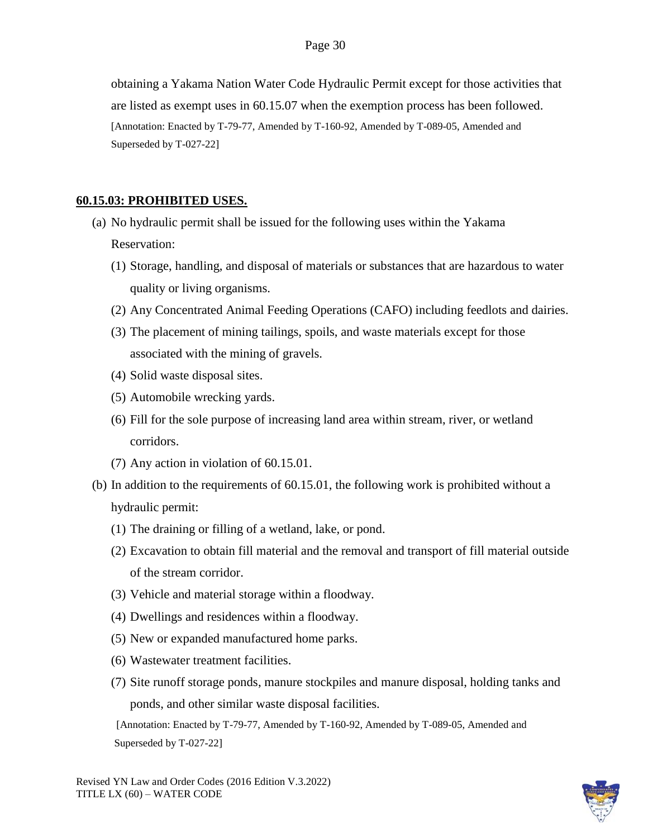obtaining a Yakama Nation Water Code Hydraulic Permit except for those activities that are listed as exempt uses in 60.15.07 when the exemption process has been followed. [Annotation: Enacted by T-79-77, Amended by T-160-92, Amended by T-089-05, Amended and Superseded by T-027-22]

### **60.15.03: PROHIBITED USES.**

- (a) No hydraulic permit shall be issued for the following uses within the Yakama Reservation:
	- (1) Storage, handling, and disposal of materials or substances that are hazardous to water quality or living organisms.
	- (2) Any Concentrated Animal Feeding Operations (CAFO) including feedlots and dairies.
	- (3) The placement of mining tailings, spoils, and waste materials except for those associated with the mining of gravels.
	- (4) Solid waste disposal sites.
	- (5) Automobile wrecking yards.
	- (6) Fill for the sole purpose of increasing land area within stream, river, or wetland corridors.
	- (7) Any action in violation of 60.15.01.
- (b) In addition to the requirements of 60.15.01, the following work is prohibited without a hydraulic permit:
	- (1) The draining or filling of a wetland, lake, or pond.
	- (2) Excavation to obtain fill material and the removal and transport of fill material outside of the stream corridor.
	- (3) Vehicle and material storage within a floodway.
	- (4) Dwellings and residences within a floodway.
	- (5) New or expanded manufactured home parks.
	- (6) Wastewater treatment facilities.
	- (7) Site runoff storage ponds, manure stockpiles and manure disposal, holding tanks and ponds, and other similar waste disposal facilities.

 [Annotation: Enacted by T-79-77, Amended by T-160-92, Amended by T-089-05, Amended and Superseded by T-027-22]

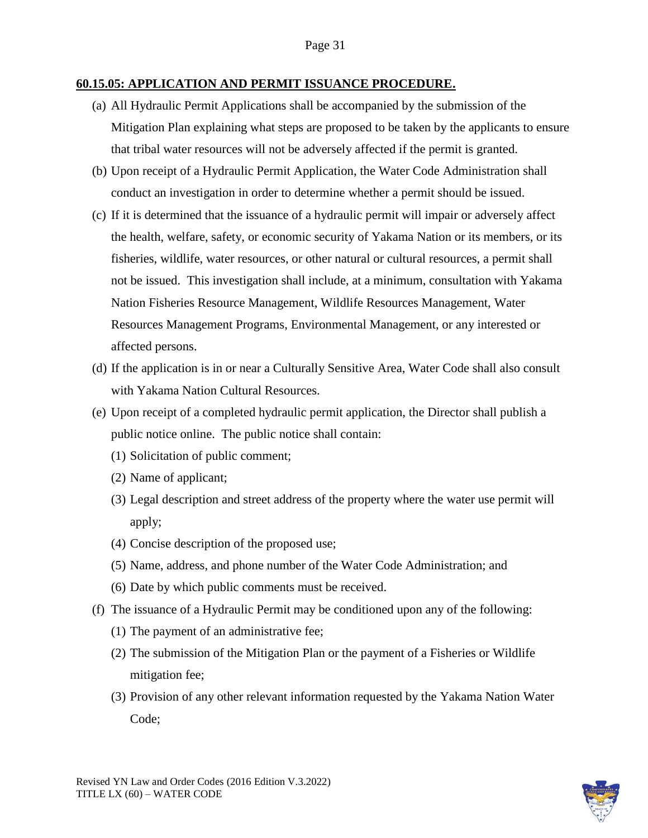#### **60.15.05: APPLICATION AND PERMIT ISSUANCE PROCEDURE.**

- (a) All Hydraulic Permit Applications shall be accompanied by the submission of the Mitigation Plan explaining what steps are proposed to be taken by the applicants to ensure that tribal water resources will not be adversely affected if the permit is granted.
- (b) Upon receipt of a Hydraulic Permit Application, the Water Code Administration shall conduct an investigation in order to determine whether a permit should be issued.
- (c) If it is determined that the issuance of a hydraulic permit will impair or adversely affect the health, welfare, safety, or economic security of Yakama Nation or its members, or its fisheries, wildlife, water resources, or other natural or cultural resources, a permit shall not be issued. This investigation shall include, at a minimum, consultation with Yakama Nation Fisheries Resource Management, Wildlife Resources Management, Water Resources Management Programs, Environmental Management, or any interested or affected persons.
- (d) If the application is in or near a Culturally Sensitive Area, Water Code shall also consult with Yakama Nation Cultural Resources.
- (e) Upon receipt of a completed hydraulic permit application, the Director shall publish a public notice online. The public notice shall contain:
	- (1) Solicitation of public comment;
	- (2) Name of applicant;
	- (3) Legal description and street address of the property where the water use permit will apply;
	- (4) Concise description of the proposed use;
	- (5) Name, address, and phone number of the Water Code Administration; and
	- (6) Date by which public comments must be received.
- (f) The issuance of a Hydraulic Permit may be conditioned upon any of the following:
	- (1) The payment of an administrative fee;
	- (2) The submission of the Mitigation Plan or the payment of a Fisheries or Wildlife mitigation fee;
	- (3) Provision of any other relevant information requested by the Yakama Nation Water Code;

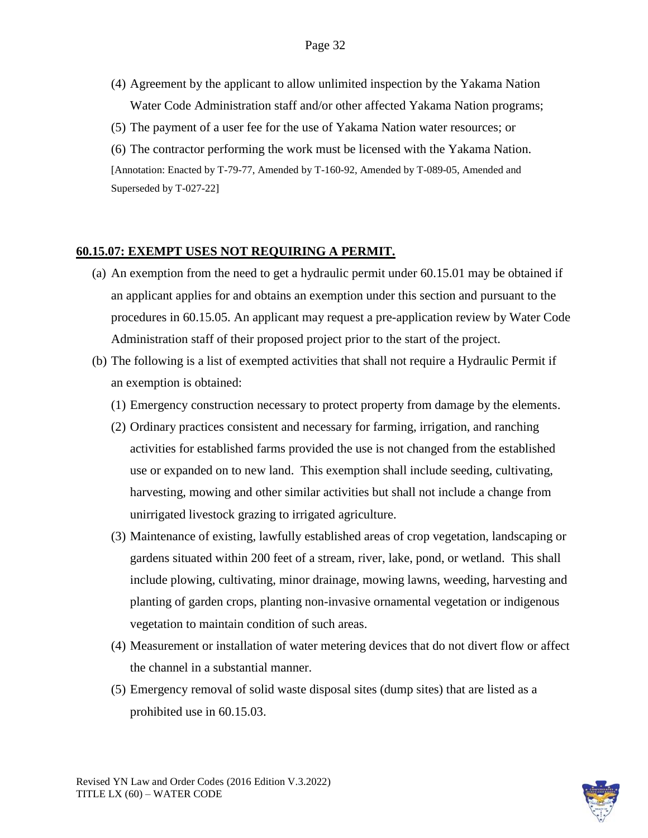- (4) Agreement by the applicant to allow unlimited inspection by the Yakama Nation Water Code Administration staff and/or other affected Yakama Nation programs;
- (5) The payment of a user fee for the use of Yakama Nation water resources; or
- (6) The contractor performing the work must be licensed with the Yakama Nation. [Annotation: Enacted by T-79-77, Amended by T-160-92, Amended by T-089-05, Amended and Superseded by T-027-22]

#### **60.15.07: EXEMPT USES NOT REQUIRING A PERMIT.**

- (a) An exemption from the need to get a hydraulic permit under 60.15.01 may be obtained if an applicant applies for and obtains an exemption under this section and pursuant to the procedures in 60.15.05. An applicant may request a pre-application review by Water Code Administration staff of their proposed project prior to the start of the project.
- (b) The following is a list of exempted activities that shall not require a Hydraulic Permit if an exemption is obtained:
	- (1) Emergency construction necessary to protect property from damage by the elements.
	- (2) Ordinary practices consistent and necessary for farming, irrigation, and ranching activities for established farms provided the use is not changed from the established use or expanded on to new land. This exemption shall include seeding, cultivating, harvesting, mowing and other similar activities but shall not include a change from unirrigated livestock grazing to irrigated agriculture.
	- (3) Maintenance of existing, lawfully established areas of crop vegetation, landscaping or gardens situated within 200 feet of a stream, river, lake, pond, or wetland. This shall include plowing, cultivating, minor drainage, mowing lawns, weeding, harvesting and planting of garden crops, planting non-invasive ornamental vegetation or indigenous vegetation to maintain condition of such areas.
	- (4) Measurement or installation of water metering devices that do not divert flow or affect the channel in a substantial manner.
	- (5) Emergency removal of solid waste disposal sites (dump sites) that are listed as a prohibited use in 60.15.03.

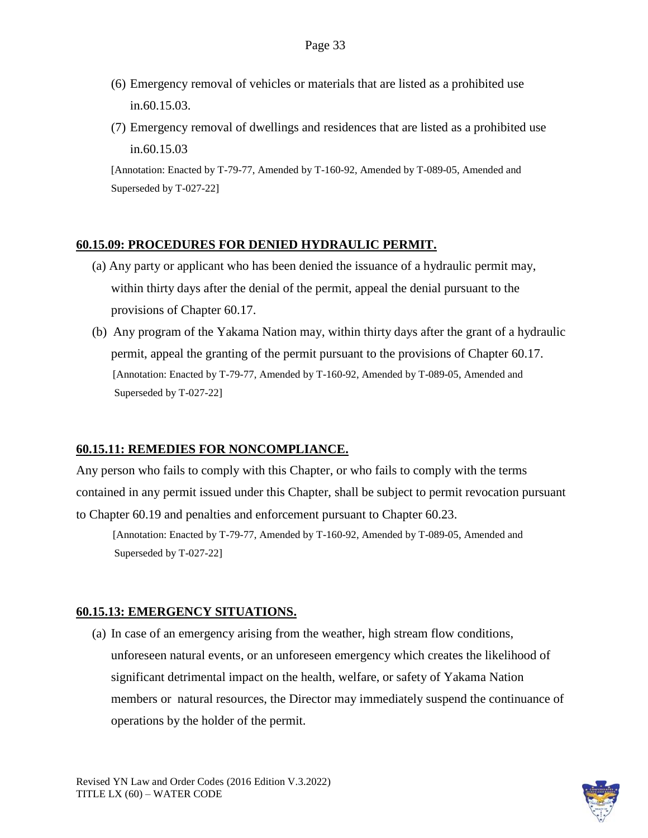- (6) Emergency removal of vehicles or materials that are listed as a prohibited use in.60.15.03.
- (7) Emergency removal of dwellings and residences that are listed as a prohibited use in.60.15.03

### **60.15.09: PROCEDURES FOR DENIED HYDRAULIC PERMIT.**

- (a) Any party or applicant who has been denied the issuance of a hydraulic permit may, within thirty days after the denial of the permit, appeal the denial pursuant to the provisions of Chapter 60.17.
- (b) Any program of the Yakama Nation may, within thirty days after the grant of a hydraulic permit, appeal the granting of the permit pursuant to the provisions of Chapter 60.17. [Annotation: Enacted by T-79-77, Amended by T-160-92, Amended by T-089-05, Amended and Superseded by T-027-22]

### **60.15.11: REMEDIES FOR NONCOMPLIANCE.**

Any person who fails to comply with this Chapter, or who fails to comply with the terms contained in any permit issued under this Chapter, shall be subject to permit revocation pursuant to Chapter 60.19 and penalties and enforcement pursuant to Chapter 60.23.

[Annotation: Enacted by T-79-77, Amended by T-160-92, Amended by T-089-05, Amended and Superseded by T-027-22]

### **60.15.13: EMERGENCY SITUATIONS.**

(a) In case of an emergency arising from the weather, high stream flow conditions, unforeseen natural events, or an unforeseen emergency which creates the likelihood of significant detrimental impact on the health, welfare, or safety of Yakama Nation members or natural resources, the Director may immediately suspend the continuance of operations by the holder of the permit.

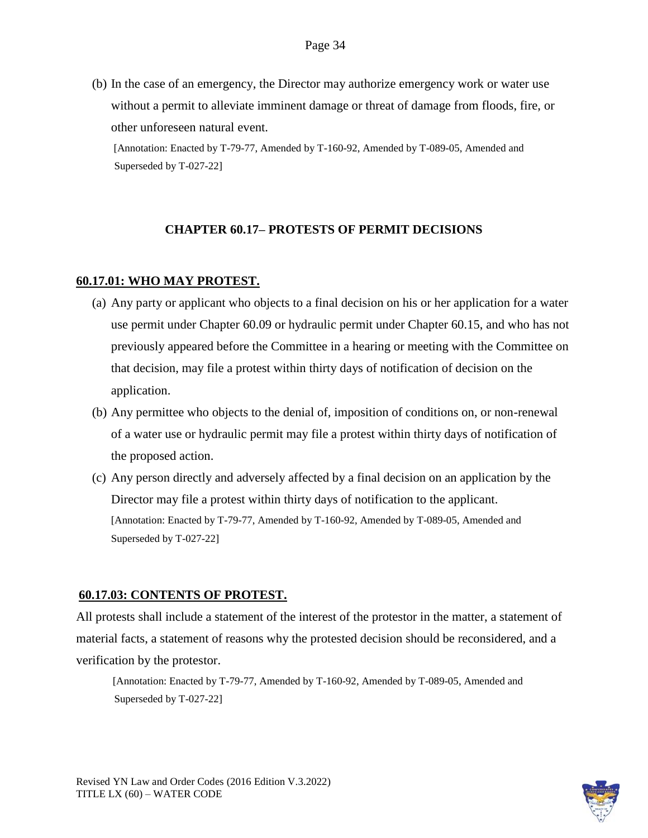(b) In the case of an emergency, the Director may authorize emergency work or water use without a permit to alleviate imminent damage or threat of damage from floods, fire, or other unforeseen natural event.

[Annotation: Enacted by T-79-77, Amended by T-160-92, Amended by T-089-05, Amended and Superseded by T-027-22]

### **CHAPTER 60.17– PROTESTS OF PERMIT DECISIONS**

#### **60.17.01: WHO MAY PROTEST.**

- (a) Any party or applicant who objects to a final decision on his or her application for a water use permit under Chapter 60.09 or hydraulic permit under Chapter 60.15, and who has not previously appeared before the Committee in a hearing or meeting with the Committee on that decision, may file a protest within thirty days of notification of decision on the application.
- (b) Any permittee who objects to the denial of, imposition of conditions on, or non-renewal of a water use or hydraulic permit may file a protest within thirty days of notification of the proposed action.
- (c) Any person directly and adversely affected by a final decision on an application by the Director may file a protest within thirty days of notification to the applicant. [Annotation: Enacted by T-79-77, Amended by T-160-92, Amended by T-089-05, Amended and Superseded by T-027-22]

#### **60.17.03: CONTENTS OF PROTEST.**

All protests shall include a statement of the interest of the protestor in the matter, a statement of material facts, a statement of reasons why the protested decision should be reconsidered, and a verification by the protestor.

[Annotation: Enacted by T-79-77, Amended by T-160-92, Amended by T-089-05, Amended and Superseded by T-027-22]

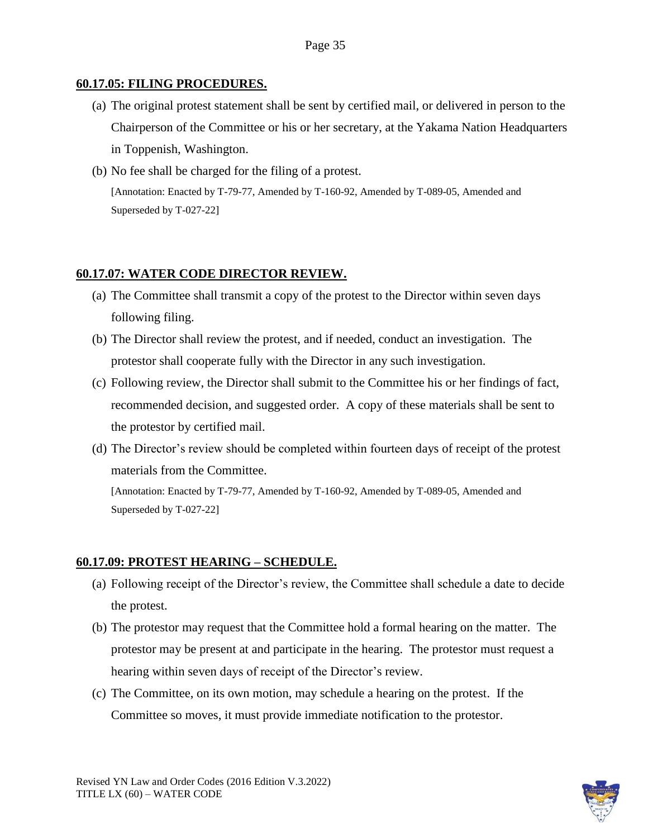### **60.17.05: FILING PROCEDURES.**

- (a) The original protest statement shall be sent by certified mail, or delivered in person to the Chairperson of the Committee or his or her secretary, at the Yakama Nation Headquarters in Toppenish, Washington.
- (b) No fee shall be charged for the filing of a protest. [Annotation: Enacted by T-79-77, Amended by T-160-92, Amended by T-089-05, Amended and Superseded by T-027-22]

# **60.17.07: WATER CODE DIRECTOR REVIEW.**

- (a) The Committee shall transmit a copy of the protest to the Director within seven days following filing.
- (b) The Director shall review the protest, and if needed, conduct an investigation. The protestor shall cooperate fully with the Director in any such investigation.
- (c) Following review, the Director shall submit to the Committee his or her findings of fact, recommended decision, and suggested order. A copy of these materials shall be sent to the protestor by certified mail.
- (d) The Director's review should be completed within fourteen days of receipt of the protest materials from the Committee.

[Annotation: Enacted by T-79-77, Amended by T-160-92, Amended by T-089-05, Amended and Superseded by T-027-22]

# **60.17.09: PROTEST HEARING – SCHEDULE.**

- (a) Following receipt of the Director's review, the Committee shall schedule a date to decide the protest.
- (b) The protestor may request that the Committee hold a formal hearing on the matter. The protestor may be present at and participate in the hearing. The protestor must request a hearing within seven days of receipt of the Director's review.
- (c) The Committee, on its own motion, may schedule a hearing on the protest. If the Committee so moves, it must provide immediate notification to the protestor.

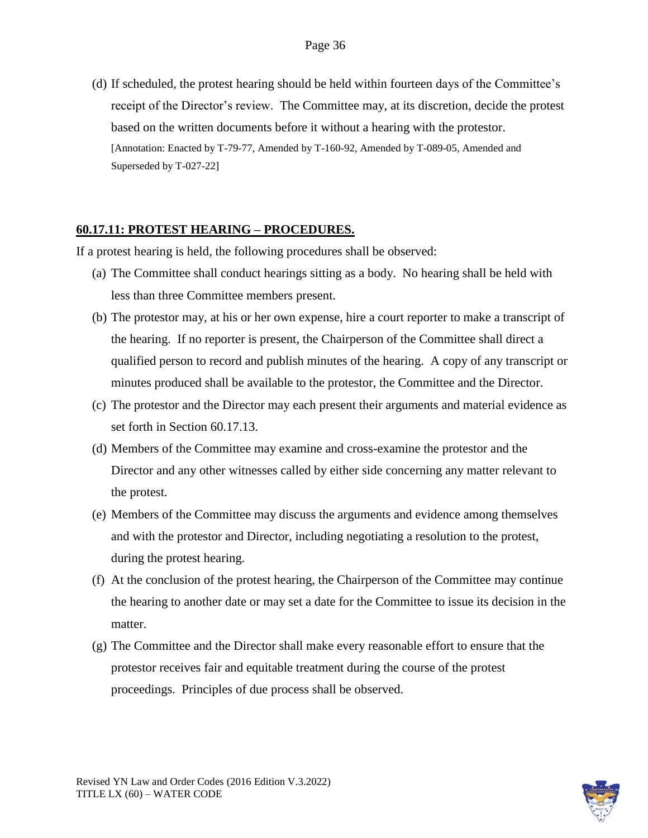(d) If scheduled, the protest hearing should be held within fourteen days of the Committee's receipt of the Director's review. The Committee may, at its discretion, decide the protest based on the written documents before it without a hearing with the protestor. [Annotation: Enacted by T-79-77, Amended by T-160-92, Amended by T-089-05, Amended and Superseded by T-027-22]

### **60.17.11: PROTEST HEARING – PROCEDURES.**

If a protest hearing is held, the following procedures shall be observed:

- (a) The Committee shall conduct hearings sitting as a body. No hearing shall be held with less than three Committee members present.
- (b) The protestor may, at his or her own expense, hire a court reporter to make a transcript of the hearing. If no reporter is present, the Chairperson of the Committee shall direct a qualified person to record and publish minutes of the hearing. A copy of any transcript or minutes produced shall be available to the protestor, the Committee and the Director.
- (c) The protestor and the Director may each present their arguments and material evidence as set forth in Section 60.17.13.
- (d) Members of the Committee may examine and cross-examine the protestor and the Director and any other witnesses called by either side concerning any matter relevant to the protest.
- (e) Members of the Committee may discuss the arguments and evidence among themselves and with the protestor and Director, including negotiating a resolution to the protest, during the protest hearing.
- (f) At the conclusion of the protest hearing, the Chairperson of the Committee may continue the hearing to another date or may set a date for the Committee to issue its decision in the matter.
- (g) The Committee and the Director shall make every reasonable effort to ensure that the protestor receives fair and equitable treatment during the course of the protest proceedings. Principles of due process shall be observed.

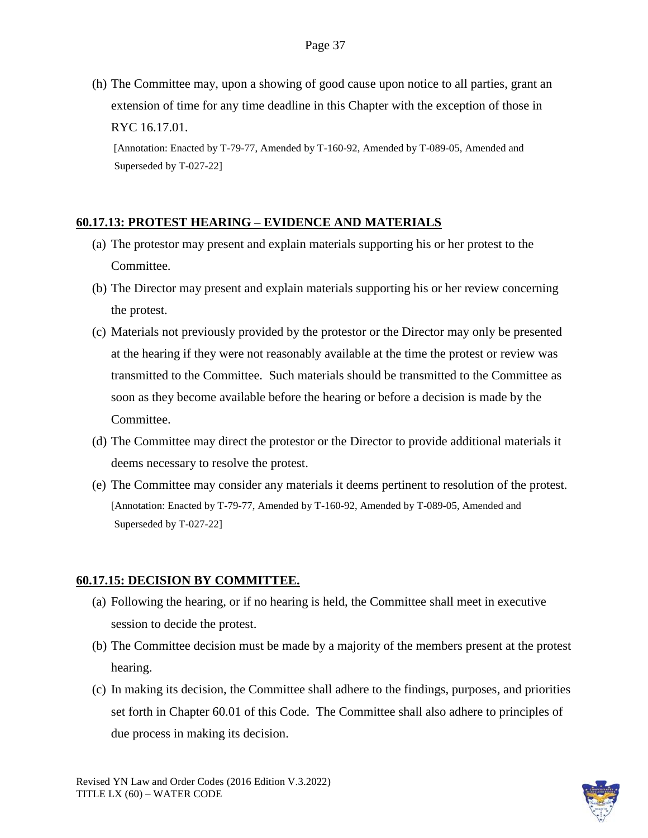(h) The Committee may, upon a showing of good cause upon notice to all parties, grant an extension of time for any time deadline in this Chapter with the exception of those in RYC 16.17.01.

[Annotation: Enacted by T-79-77, Amended by T-160-92, Amended by T-089-05, Amended and Superseded by T-027-22]

### **60.17.13: PROTEST HEARING – EVIDENCE AND MATERIALS**

- (a) The protestor may present and explain materials supporting his or her protest to the Committee.
- (b) The Director may present and explain materials supporting his or her review concerning the protest.
- (c) Materials not previously provided by the protestor or the Director may only be presented at the hearing if they were not reasonably available at the time the protest or review was transmitted to the Committee. Such materials should be transmitted to the Committee as soon as they become available before the hearing or before a decision is made by the Committee.
- (d) The Committee may direct the protestor or the Director to provide additional materials it deems necessary to resolve the protest.
- (e) The Committee may consider any materials it deems pertinent to resolution of the protest. [Annotation: Enacted by T-79-77, Amended by T-160-92, Amended by T-089-05, Amended and Superseded by T-027-22]

### **60.17.15: DECISION BY COMMITTEE.**

- (a) Following the hearing, or if no hearing is held, the Committee shall meet in executive session to decide the protest.
- (b) The Committee decision must be made by a majority of the members present at the protest hearing.
- (c) In making its decision, the Committee shall adhere to the findings, purposes, and priorities set forth in Chapter 60.01 of this Code. The Committee shall also adhere to principles of due process in making its decision.

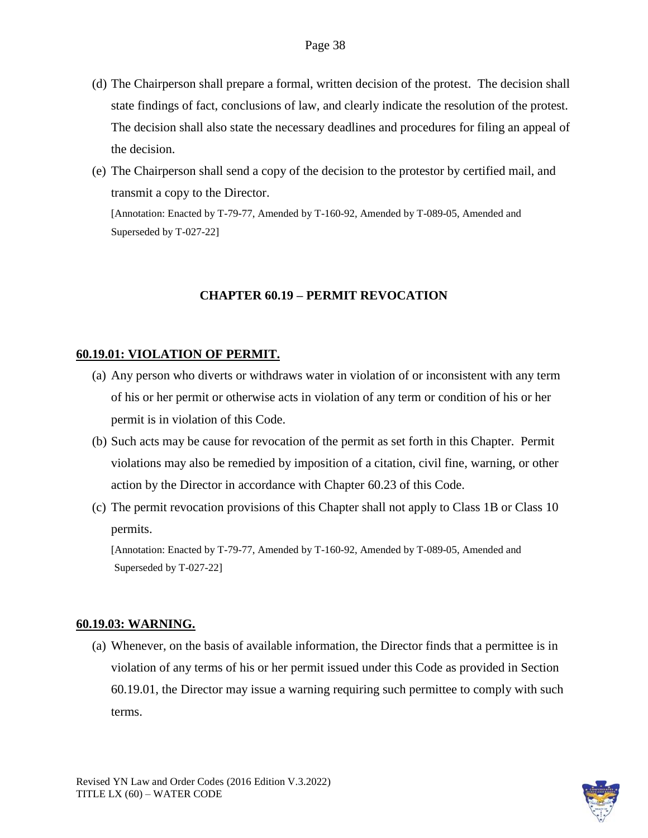- (d) The Chairperson shall prepare a formal, written decision of the protest. The decision shall state findings of fact, conclusions of law, and clearly indicate the resolution of the protest. The decision shall also state the necessary deadlines and procedures for filing an appeal of the decision.
- (e) The Chairperson shall send a copy of the decision to the protestor by certified mail, and transmit a copy to the Director. [Annotation: Enacted by T-79-77, Amended by T-160-92, Amended by T-089-05, Amended and

Superseded by T-027-22]

#### **CHAPTER 60.19 – PERMIT REVOCATION**

### **60.19.01: VIOLATION OF PERMIT.**

- (a) Any person who diverts or withdraws water in violation of or inconsistent with any term of his or her permit or otherwise acts in violation of any term or condition of his or her permit is in violation of this Code.
- (b) Such acts may be cause for revocation of the permit as set forth in this Chapter. Permit violations may also be remedied by imposition of a citation, civil fine, warning, or other action by the Director in accordance with Chapter 60.23 of this Code.
- (c) The permit revocation provisions of this Chapter shall not apply to Class 1B or Class 10 permits.

[Annotation: Enacted by T-79-77, Amended by T-160-92, Amended by T-089-05, Amended and Superseded by T-027-22]

#### **60.19.03: WARNING.**

(a) Whenever, on the basis of available information, the Director finds that a permittee is in violation of any terms of his or her permit issued under this Code as provided in Section 60.19.01, the Director may issue a warning requiring such permittee to comply with such terms.

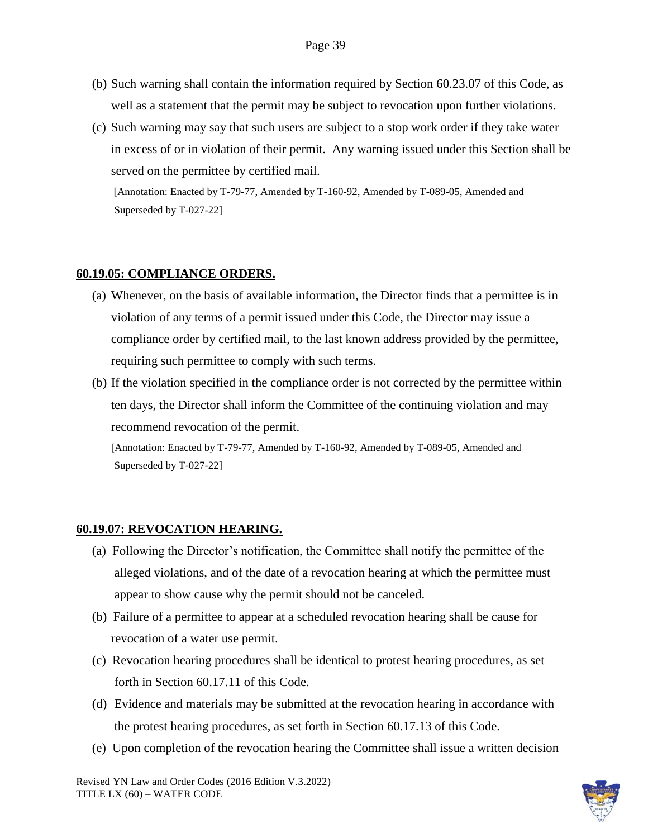- (b) Such warning shall contain the information required by Section 60.23.07 of this Code, as well as a statement that the permit may be subject to revocation upon further violations.
- (c) Such warning may say that such users are subject to a stop work order if they take water in excess of or in violation of their permit. Any warning issued under this Section shall be served on the permittee by certified mail.

### **60.19.05: COMPLIANCE ORDERS.**

- (a) Whenever, on the basis of available information, the Director finds that a permittee is in violation of any terms of a permit issued under this Code, the Director may issue a compliance order by certified mail, to the last known address provided by the permittee, requiring such permittee to comply with such terms.
- (b) If the violation specified in the compliance order is not corrected by the permittee within ten days, the Director shall inform the Committee of the continuing violation and may recommend revocation of the permit.

[Annotation: Enacted by T-79-77, Amended by T-160-92, Amended by T-089-05, Amended and Superseded by T-027-22]

### **60.19.07: REVOCATION HEARING.**

- (a) Following the Director's notification, the Committee shall notify the permittee of the alleged violations, and of the date of a revocation hearing at which the permittee must appear to show cause why the permit should not be canceled.
- (b) Failure of a permittee to appear at a scheduled revocation hearing shall be cause for revocation of a water use permit.
- (c) Revocation hearing procedures shall be identical to protest hearing procedures, as set forth in Section 60.17.11 of this Code.
- (d) Evidence and materials may be submitted at the revocation hearing in accordance with the protest hearing procedures, as set forth in Section 60.17.13 of this Code.
- (e) Upon completion of the revocation hearing the Committee shall issue a written decision

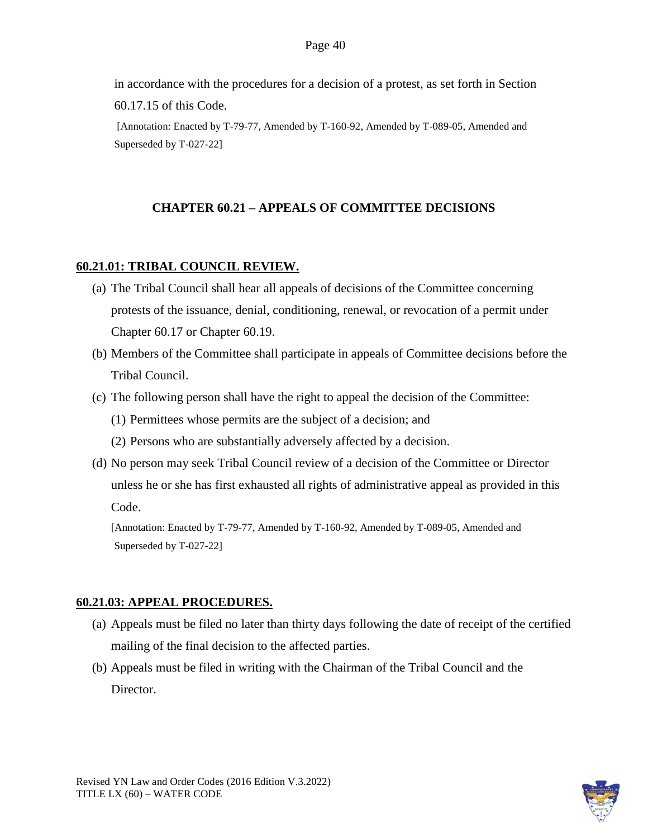in accordance with the procedures for a decision of a protest, as set forth in Section 60.17.15 of this Code.

[Annotation: Enacted by T-79-77, Amended by T-160-92, Amended by T-089-05, Amended and Superseded by T-027-22]

### **CHAPTER 60.21 – APPEALS OF COMMITTEE DECISIONS**

### **60.21.01: TRIBAL COUNCIL REVIEW.**

- (a) The Tribal Council shall hear all appeals of decisions of the Committee concerning protests of the issuance, denial, conditioning, renewal, or revocation of a permit under Chapter 60.17 or Chapter 60.19.
- (b) Members of the Committee shall participate in appeals of Committee decisions before the Tribal Council.
- (c) The following person shall have the right to appeal the decision of the Committee:
	- (1) Permittees whose permits are the subject of a decision; and
	- (2) Persons who are substantially adversely affected by a decision.
- (d) No person may seek Tribal Council review of a decision of the Committee or Director unless he or she has first exhausted all rights of administrative appeal as provided in this Code.

[Annotation: Enacted by T-79-77, Amended by T-160-92, Amended by T-089-05, Amended and Superseded by T-027-22]

### **60.21.03: APPEAL PROCEDURES.**

- (a) Appeals must be filed no later than thirty days following the date of receipt of the certified mailing of the final decision to the affected parties.
- (b) Appeals must be filed in writing with the Chairman of the Tribal Council and the Director.

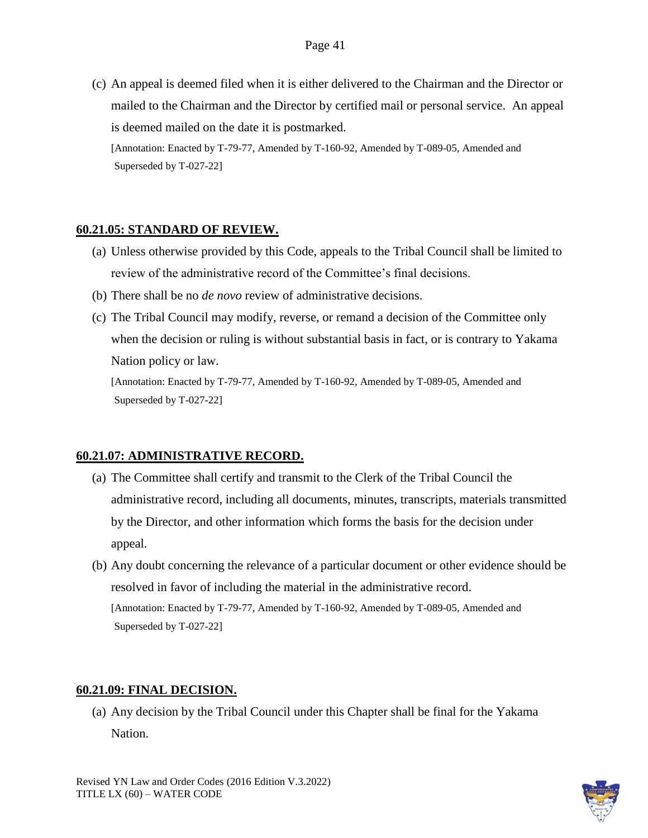(c) An appeal is deemed filed when it is either delivered to the Chairman and the Director or mailed to the Chairman and the Director by certified mail or personal service. An appeal is deemed mailed on the date it is postmarked. [Annotation: Enacted by T-79-77, Amended by T-160-92, Amended by T-089-05, Amended and

Superseded by T-027-22]

### **60.21.05: STANDARD OF REVIEW.**

- (a) Unless otherwise provided by this Code, appeals to the Tribal Council shall be limited to review of the administrative record of the Committee's final decisions.
- (b) There shall be no *de novo* review of administrative decisions.
- (c) The Tribal Council may modify, reverse, or remand a decision of the Committee only when the decision or ruling is without substantial basis in fact, or is contrary to Yakama Nation policy or law.

[Annotation: Enacted by T-79-77, Amended by T-160-92, Amended by T-089-05, Amended and Superseded by T-027-22]

### **60.21.07: ADMINISTRATIVE RECORD.**

- (a) The Committee shall certify and transmit to the Clerk of the Tribal Council the administrative record, including all documents, minutes, transcripts, materials transmitted by the Director, and other information which forms the basis for the decision under appeal.
- (b) Any doubt concerning the relevance of a particular document or other evidence should be resolved in favor of including the material in the administrative record. [Annotation: Enacted by T-79-77, Amended by T-160-92, Amended by T-089-05, Amended and Superseded by T-027-22]

### **60.21.09: FINAL DECISION.**

(a) Any decision by the Tribal Council under this Chapter shall be final for the Yakama Nation.

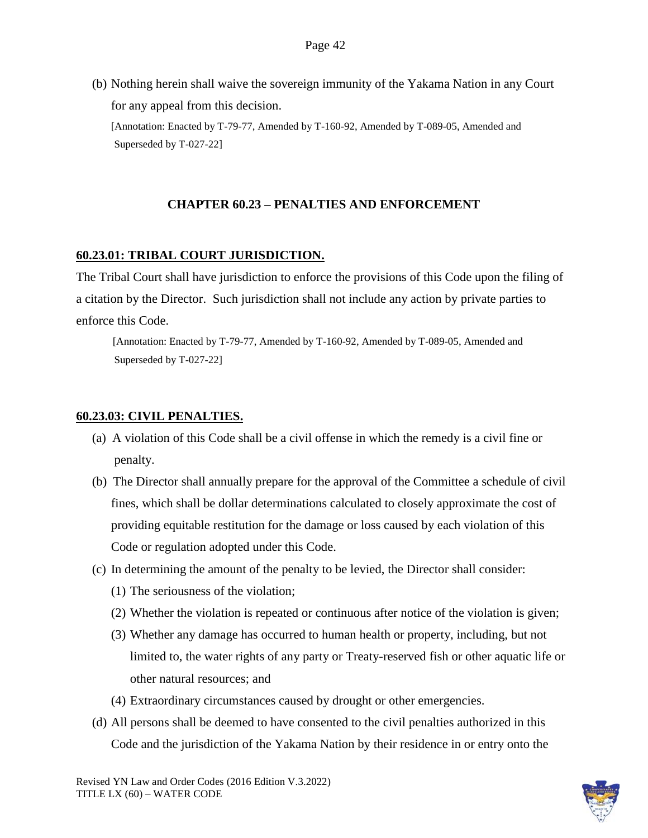(b) Nothing herein shall waive the sovereign immunity of the Yakama Nation in any Court for any appeal from this decision. [Annotation: Enacted by T-79-77, Amended by T-160-92, Amended by T-089-05, Amended and Superseded by T-027-22]

### **CHAPTER 60.23 – PENALTIES AND ENFORCEMENT**

### **60.23.01: TRIBAL COURT JURISDICTION.**

The Tribal Court shall have jurisdiction to enforce the provisions of this Code upon the filing of a citation by the Director. Such jurisdiction shall not include any action by private parties to enforce this Code.

[Annotation: Enacted by T-79-77, Amended by T-160-92, Amended by T-089-05, Amended and Superseded by T-027-22]

### **60.23.03: CIVIL PENALTIES.**

- (a) A violation of this Code shall be a civil offense in which the remedy is a civil fine or penalty.
- (b) The Director shall annually prepare for the approval of the Committee a schedule of civil fines, which shall be dollar determinations calculated to closely approximate the cost of providing equitable restitution for the damage or loss caused by each violation of this Code or regulation adopted under this Code.
- (c) In determining the amount of the penalty to be levied, the Director shall consider:
	- (1) The seriousness of the violation;
	- (2) Whether the violation is repeated or continuous after notice of the violation is given;
	- (3) Whether any damage has occurred to human health or property, including, but not limited to, the water rights of any party or Treaty-reserved fish or other aquatic life or other natural resources; and
	- (4) Extraordinary circumstances caused by drought or other emergencies.
- (d) All persons shall be deemed to have consented to the civil penalties authorized in this Code and the jurisdiction of the Yakama Nation by their residence in or entry onto the

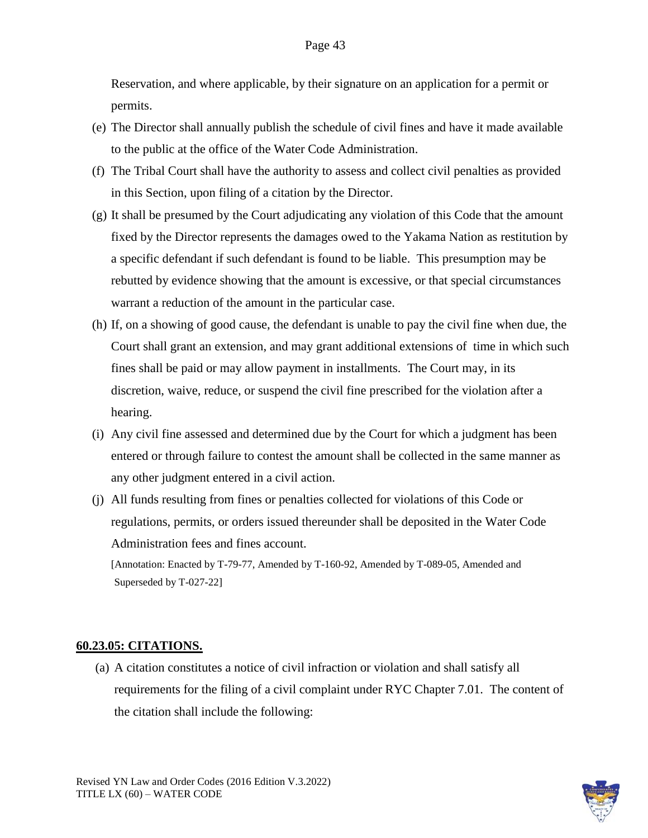Reservation, and where applicable, by their signature on an application for a permit or permits.

- (e) The Director shall annually publish the schedule of civil fines and have it made available to the public at the office of the Water Code Administration.
- (f) The Tribal Court shall have the authority to assess and collect civil penalties as provided in this Section, upon filing of a citation by the Director.
- (g) It shall be presumed by the Court adjudicating any violation of this Code that the amount fixed by the Director represents the damages owed to the Yakama Nation as restitution by a specific defendant if such defendant is found to be liable. This presumption may be rebutted by evidence showing that the amount is excessive, or that special circumstances warrant a reduction of the amount in the particular case.
- (h) If, on a showing of good cause, the defendant is unable to pay the civil fine when due, the Court shall grant an extension, and may grant additional extensions of time in which such fines shall be paid or may allow payment in installments. The Court may, in its discretion, waive, reduce, or suspend the civil fine prescribed for the violation after a hearing.
- (i) Any civil fine assessed and determined due by the Court for which a judgment has been entered or through failure to contest the amount shall be collected in the same manner as any other judgment entered in a civil action.
- (j) All funds resulting from fines or penalties collected for violations of this Code or regulations, permits, or orders issued thereunder shall be deposited in the Water Code Administration fees and fines account.

[Annotation: Enacted by T-79-77, Amended by T-160-92, Amended by T-089-05, Amended and Superseded by T-027-22]

#### **60.23.05: CITATIONS.**

(a) A citation constitutes a notice of civil infraction or violation and shall satisfy all requirements for the filing of a civil complaint under RYC Chapter 7.01. The content of the citation shall include the following:

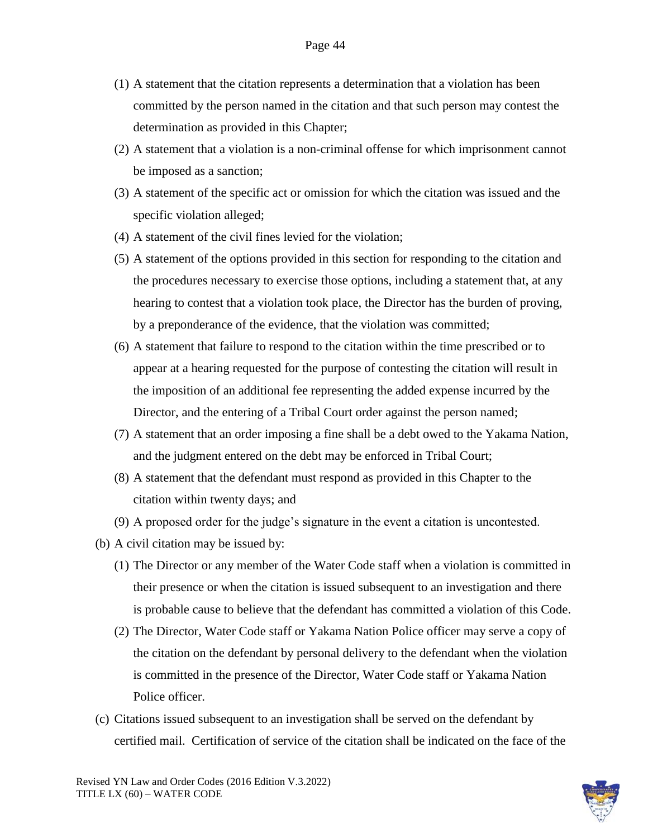- (1) A statement that the citation represents a determination that a violation has been committed by the person named in the citation and that such person may contest the determination as provided in this Chapter;
- (2) A statement that a violation is a non-criminal offense for which imprisonment cannot be imposed as a sanction;
- (3) A statement of the specific act or omission for which the citation was issued and the specific violation alleged;
- (4) A statement of the civil fines levied for the violation;
- (5) A statement of the options provided in this section for responding to the citation and the procedures necessary to exercise those options, including a statement that, at any hearing to contest that a violation took place, the Director has the burden of proving, by a preponderance of the evidence, that the violation was committed;
- (6) A statement that failure to respond to the citation within the time prescribed or to appear at a hearing requested for the purpose of contesting the citation will result in the imposition of an additional fee representing the added expense incurred by the Director, and the entering of a Tribal Court order against the person named;
- (7) A statement that an order imposing a fine shall be a debt owed to the Yakama Nation, and the judgment entered on the debt may be enforced in Tribal Court;
- (8) A statement that the defendant must respond as provided in this Chapter to the citation within twenty days; and
- (9) A proposed order for the judge's signature in the event a citation is uncontested.
- (b) A civil citation may be issued by:
	- (1) The Director or any member of the Water Code staff when a violation is committed in their presence or when the citation is issued subsequent to an investigation and there is probable cause to believe that the defendant has committed a violation of this Code.
	- (2) The Director, Water Code staff or Yakama Nation Police officer may serve a copy of the citation on the defendant by personal delivery to the defendant when the violation is committed in the presence of the Director, Water Code staff or Yakama Nation Police officer.
- (c) Citations issued subsequent to an investigation shall be served on the defendant by certified mail. Certification of service of the citation shall be indicated on the face of the

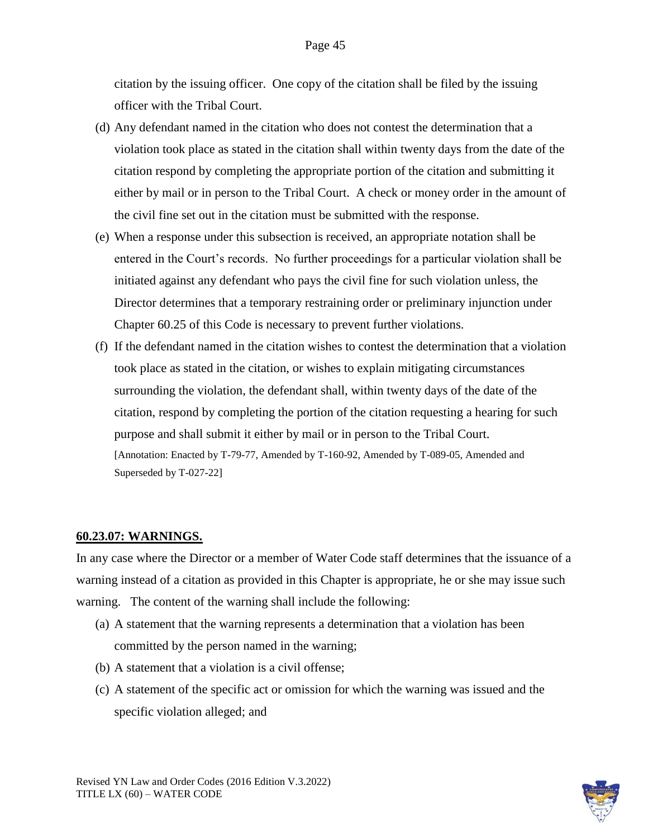citation by the issuing officer. One copy of the citation shall be filed by the issuing officer with the Tribal Court.

- (d) Any defendant named in the citation who does not contest the determination that a violation took place as stated in the citation shall within twenty days from the date of the citation respond by completing the appropriate portion of the citation and submitting it either by mail or in person to the Tribal Court. A check or money order in the amount of the civil fine set out in the citation must be submitted with the response.
- (e) When a response under this subsection is received, an appropriate notation shall be entered in the Court's records. No further proceedings for a particular violation shall be initiated against any defendant who pays the civil fine for such violation unless, the Director determines that a temporary restraining order or preliminary injunction under Chapter 60.25 of this Code is necessary to prevent further violations.
- (f) If the defendant named in the citation wishes to contest the determination that a violation took place as stated in the citation, or wishes to explain mitigating circumstances surrounding the violation, the defendant shall, within twenty days of the date of the citation, respond by completing the portion of the citation requesting a hearing for such purpose and shall submit it either by mail or in person to the Tribal Court. [Annotation: Enacted by T-79-77, Amended by T-160-92, Amended by T-089-05, Amended and Superseded by T-027-22]

#### **60.23.07: WARNINGS.**

In any case where the Director or a member of Water Code staff determines that the issuance of a warning instead of a citation as provided in this Chapter is appropriate, he or she may issue such warning. The content of the warning shall include the following:

- (a) A statement that the warning represents a determination that a violation has been committed by the person named in the warning;
- (b) A statement that a violation is a civil offense;
- (c) A statement of the specific act or omission for which the warning was issued and the specific violation alleged; and

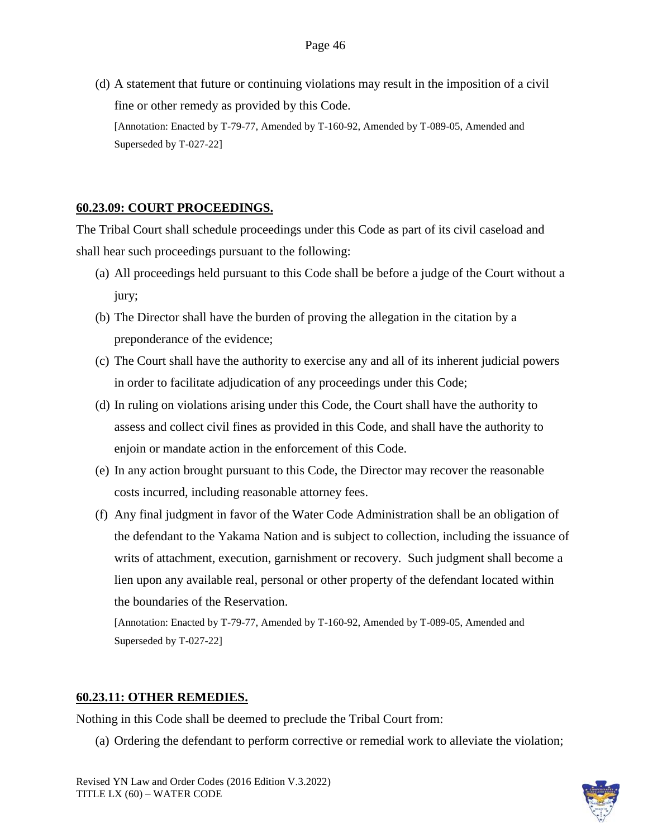(d) A statement that future or continuing violations may result in the imposition of a civil fine or other remedy as provided by this Code. [Annotation: Enacted by T-79-77, Amended by T-160-92, Amended by T-089-05, Amended and Superseded by T-027-22]

# **60.23.09: COURT PROCEEDINGS.**

The Tribal Court shall schedule proceedings under this Code as part of its civil caseload and shall hear such proceedings pursuant to the following:

- (a) All proceedings held pursuant to this Code shall be before a judge of the Court without a jury;
- (b) The Director shall have the burden of proving the allegation in the citation by a preponderance of the evidence;
- (c) The Court shall have the authority to exercise any and all of its inherent judicial powers in order to facilitate adjudication of any proceedings under this Code;
- (d) In ruling on violations arising under this Code, the Court shall have the authority to assess and collect civil fines as provided in this Code, and shall have the authority to enjoin or mandate action in the enforcement of this Code.
- (e) In any action brought pursuant to this Code, the Director may recover the reasonable costs incurred, including reasonable attorney fees.
- (f) Any final judgment in favor of the Water Code Administration shall be an obligation of the defendant to the Yakama Nation and is subject to collection, including the issuance of writs of attachment, execution, garnishment or recovery. Such judgment shall become a lien upon any available real, personal or other property of the defendant located within the boundaries of the Reservation.

[Annotation: Enacted by T-79-77, Amended by T-160-92, Amended by T-089-05, Amended and Superseded by T-027-22]

### **60.23.11: OTHER REMEDIES.**

Nothing in this Code shall be deemed to preclude the Tribal Court from:

(a) Ordering the defendant to perform corrective or remedial work to alleviate the violation;

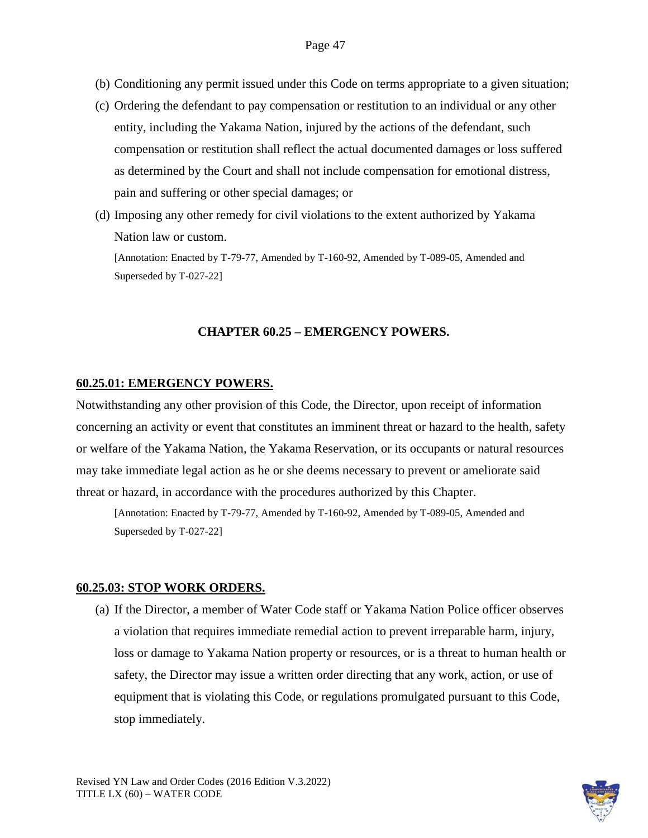- (b) Conditioning any permit issued under this Code on terms appropriate to a given situation;
- (c) Ordering the defendant to pay compensation or restitution to an individual or any other entity, including the Yakama Nation, injured by the actions of the defendant, such compensation or restitution shall reflect the actual documented damages or loss suffered as determined by the Court and shall not include compensation for emotional distress, pain and suffering or other special damages; or
- (d) Imposing any other remedy for civil violations to the extent authorized by Yakama Nation law or custom.

### **CHAPTER 60.25 – EMERGENCY POWERS.**

#### **60.25.01: EMERGENCY POWERS.**

Notwithstanding any other provision of this Code, the Director, upon receipt of information concerning an activity or event that constitutes an imminent threat or hazard to the health, safety or welfare of the Yakama Nation, the Yakama Reservation, or its occupants or natural resources may take immediate legal action as he or she deems necessary to prevent or ameliorate said threat or hazard, in accordance with the procedures authorized by this Chapter.

[Annotation: Enacted by T-79-77, Amended by T-160-92, Amended by T-089-05, Amended and Superseded by T-027-22]

#### **60.25.03: STOP WORK ORDERS.**

(a) If the Director, a member of Water Code staff or Yakama Nation Police officer observes a violation that requires immediate remedial action to prevent irreparable harm, injury, loss or damage to Yakama Nation property or resources, or is a threat to human health or safety, the Director may issue a written order directing that any work, action, or use of equipment that is violating this Code, or regulations promulgated pursuant to this Code, stop immediately.

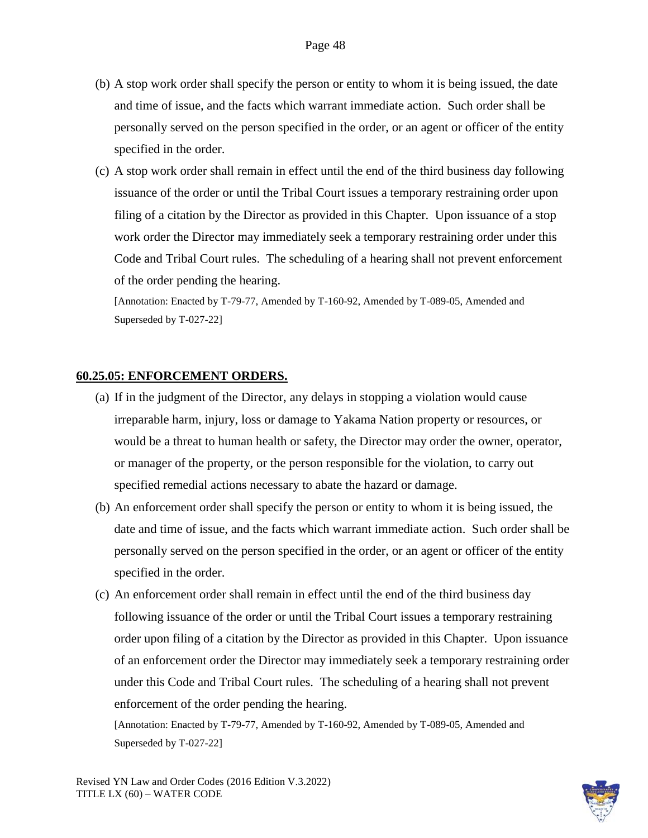- (b) A stop work order shall specify the person or entity to whom it is being issued, the date and time of issue, and the facts which warrant immediate action. Such order shall be personally served on the person specified in the order, or an agent or officer of the entity specified in the order.
- (c) A stop work order shall remain in effect until the end of the third business day following issuance of the order or until the Tribal Court issues a temporary restraining order upon filing of a citation by the Director as provided in this Chapter. Upon issuance of a stop work order the Director may immediately seek a temporary restraining order under this Code and Tribal Court rules. The scheduling of a hearing shall not prevent enforcement of the order pending the hearing.

#### **60.25.05: ENFORCEMENT ORDERS.**

- (a) If in the judgment of the Director, any delays in stopping a violation would cause irreparable harm, injury, loss or damage to Yakama Nation property or resources, or would be a threat to human health or safety, the Director may order the owner, operator, or manager of the property, or the person responsible for the violation, to carry out specified remedial actions necessary to abate the hazard or damage.
- (b) An enforcement order shall specify the person or entity to whom it is being issued, the date and time of issue, and the facts which warrant immediate action. Such order shall be personally served on the person specified in the order, or an agent or officer of the entity specified in the order.
- (c) An enforcement order shall remain in effect until the end of the third business day following issuance of the order or until the Tribal Court issues a temporary restraining order upon filing of a citation by the Director as provided in this Chapter. Upon issuance of an enforcement order the Director may immediately seek a temporary restraining order under this Code and Tribal Court rules. The scheduling of a hearing shall not prevent enforcement of the order pending the hearing.

[Annotation: Enacted by T-79-77, Amended by T-160-92, Amended by T-089-05, Amended and Superseded by T-027-22]

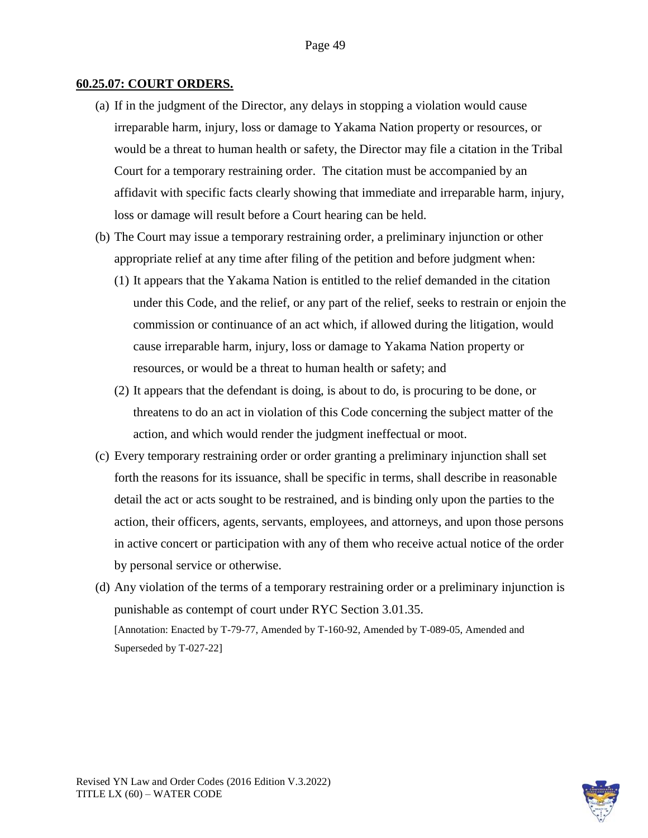#### **60.25.07: COURT ORDERS.**

- (a) If in the judgment of the Director, any delays in stopping a violation would cause irreparable harm, injury, loss or damage to Yakama Nation property or resources, or would be a threat to human health or safety, the Director may file a citation in the Tribal Court for a temporary restraining order. The citation must be accompanied by an affidavit with specific facts clearly showing that immediate and irreparable harm, injury, loss or damage will result before a Court hearing can be held.
- (b) The Court may issue a temporary restraining order, a preliminary injunction or other appropriate relief at any time after filing of the petition and before judgment when:
	- (1) It appears that the Yakama Nation is entitled to the relief demanded in the citation under this Code, and the relief, or any part of the relief, seeks to restrain or enjoin the commission or continuance of an act which, if allowed during the litigation, would cause irreparable harm, injury, loss or damage to Yakama Nation property or resources, or would be a threat to human health or safety; and
	- (2) It appears that the defendant is doing, is about to do, is procuring to be done, or threatens to do an act in violation of this Code concerning the subject matter of the action, and which would render the judgment ineffectual or moot.
- (c) Every temporary restraining order or order granting a preliminary injunction shall set forth the reasons for its issuance, shall be specific in terms, shall describe in reasonable detail the act or acts sought to be restrained, and is binding only upon the parties to the action, their officers, agents, servants, employees, and attorneys, and upon those persons in active concert or participation with any of them who receive actual notice of the order by personal service or otherwise.
- (d) Any violation of the terms of a temporary restraining order or a preliminary injunction is punishable as contempt of court under RYC Section 3.01.35. [Annotation: Enacted by T-79-77, Amended by T-160-92, Amended by T-089-05, Amended and Superseded by T-027-22]

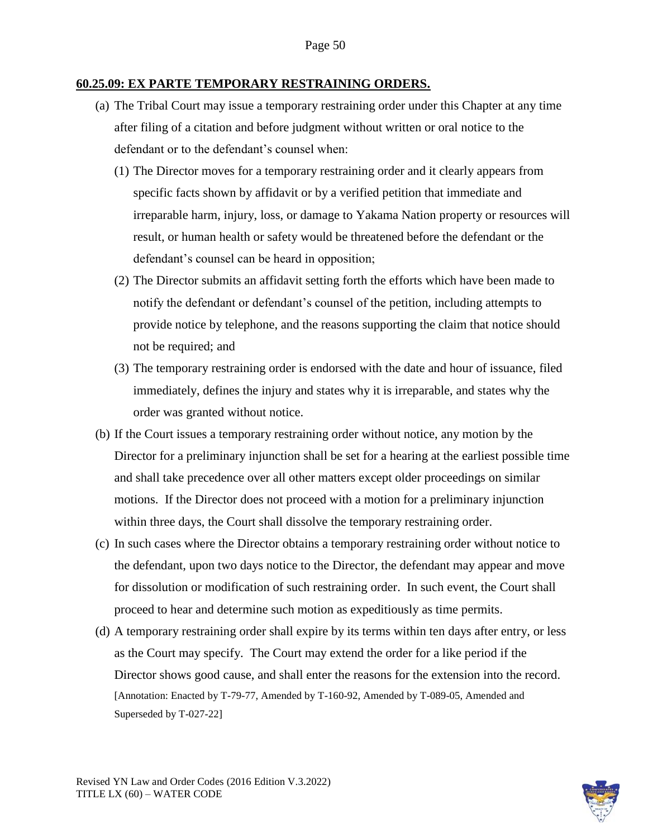#### **60.25.09: EX PARTE TEMPORARY RESTRAINING ORDERS.**

- (a) The Tribal Court may issue a temporary restraining order under this Chapter at any time after filing of a citation and before judgment without written or oral notice to the defendant or to the defendant's counsel when:
	- (1) The Director moves for a temporary restraining order and it clearly appears from specific facts shown by affidavit or by a verified petition that immediate and irreparable harm, injury, loss, or damage to Yakama Nation property or resources will result, or human health or safety would be threatened before the defendant or the defendant's counsel can be heard in opposition;
	- (2) The Director submits an affidavit setting forth the efforts which have been made to notify the defendant or defendant's counsel of the petition, including attempts to provide notice by telephone, and the reasons supporting the claim that notice should not be required; and
	- (3) The temporary restraining order is endorsed with the date and hour of issuance, filed immediately, defines the injury and states why it is irreparable, and states why the order was granted without notice.
- (b) If the Court issues a temporary restraining order without notice, any motion by the Director for a preliminary injunction shall be set for a hearing at the earliest possible time and shall take precedence over all other matters except older proceedings on similar motions. If the Director does not proceed with a motion for a preliminary injunction within three days, the Court shall dissolve the temporary restraining order.
- (c) In such cases where the Director obtains a temporary restraining order without notice to the defendant, upon two days notice to the Director, the defendant may appear and move for dissolution or modification of such restraining order. In such event, the Court shall proceed to hear and determine such motion as expeditiously as time permits.
- (d) A temporary restraining order shall expire by its terms within ten days after entry, or less as the Court may specify. The Court may extend the order for a like period if the Director shows good cause, and shall enter the reasons for the extension into the record. [Annotation: Enacted by T-79-77, Amended by T-160-92, Amended by T-089-05, Amended and Superseded by T-027-22]

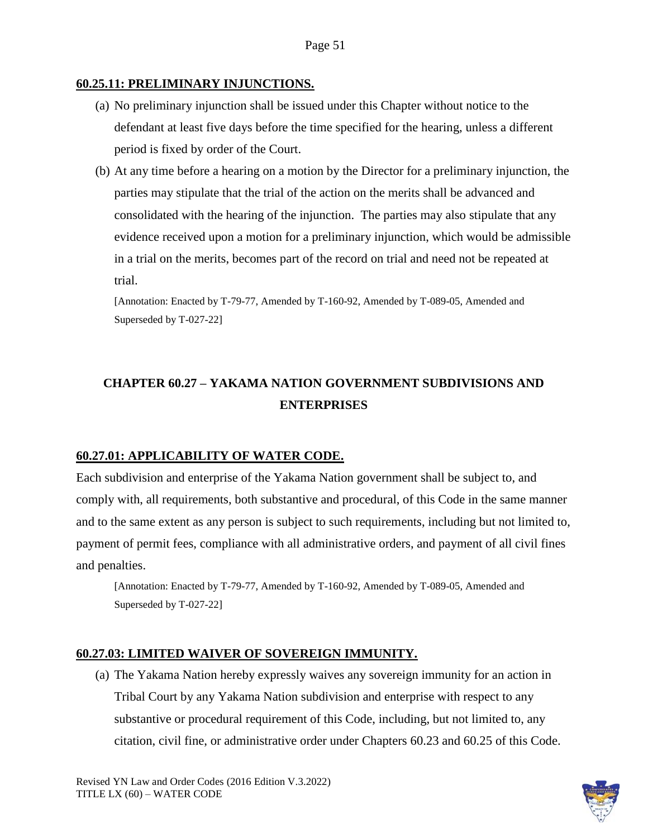#### **60.25.11: PRELIMINARY INJUNCTIONS.**

- (a) No preliminary injunction shall be issued under this Chapter without notice to the defendant at least five days before the time specified for the hearing, unless a different period is fixed by order of the Court.
- (b) At any time before a hearing on a motion by the Director for a preliminary injunction, the parties may stipulate that the trial of the action on the merits shall be advanced and consolidated with the hearing of the injunction. The parties may also stipulate that any evidence received upon a motion for a preliminary injunction, which would be admissible in a trial on the merits, becomes part of the record on trial and need not be repeated at trial.

[Annotation: Enacted by T-79-77, Amended by T-160-92, Amended by T-089-05, Amended and Superseded by T-027-22]

# **CHAPTER 60.27 – YAKAMA NATION GOVERNMENT SUBDIVISIONS AND ENTERPRISES**

### **60.27.01: APPLICABILITY OF WATER CODE.**

Each subdivision and enterprise of the Yakama Nation government shall be subject to, and comply with, all requirements, both substantive and procedural, of this Code in the same manner and to the same extent as any person is subject to such requirements, including but not limited to, payment of permit fees, compliance with all administrative orders, and payment of all civil fines and penalties.

[Annotation: Enacted by T-79-77, Amended by T-160-92, Amended by T-089-05, Amended and Superseded by T-027-22]

### **60.27.03: LIMITED WAIVER OF SOVEREIGN IMMUNITY.**

(a) The Yakama Nation hereby expressly waives any sovereign immunity for an action in Tribal Court by any Yakama Nation subdivision and enterprise with respect to any substantive or procedural requirement of this Code, including, but not limited to, any citation, civil fine, or administrative order under Chapters 60.23 and 60.25 of this Code.

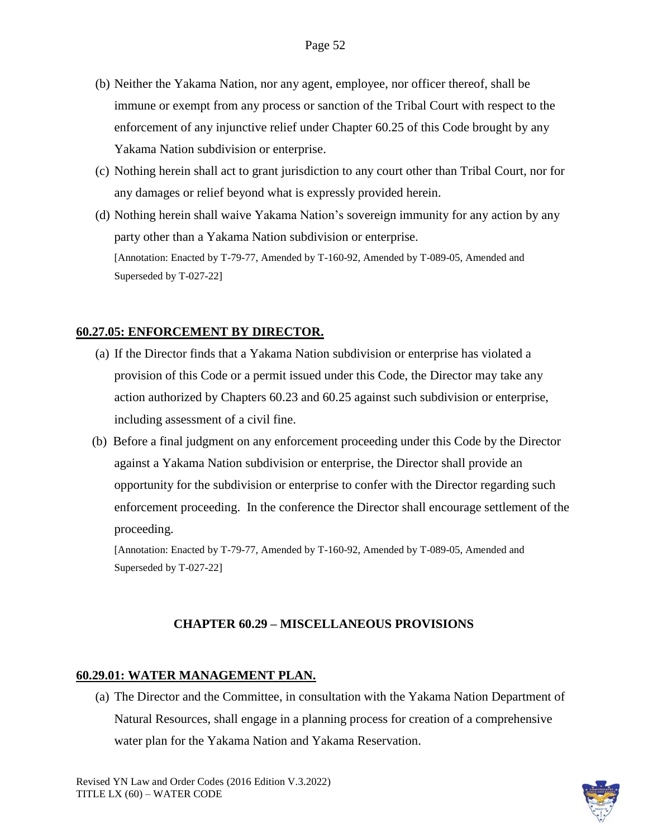- (b) Neither the Yakama Nation, nor any agent, employee, nor officer thereof, shall be immune or exempt from any process or sanction of the Tribal Court with respect to the enforcement of any injunctive relief under Chapter 60.25 of this Code brought by any Yakama Nation subdivision or enterprise.
- (c) Nothing herein shall act to grant jurisdiction to any court other than Tribal Court, nor for any damages or relief beyond what is expressly provided herein.
- (d) Nothing herein shall waive Yakama Nation's sovereign immunity for any action by any party other than a Yakama Nation subdivision or enterprise. [Annotation: Enacted by T-79-77, Amended by T-160-92, Amended by T-089-05, Amended and Superseded by T-027-22]

#### **60.27.05: ENFORCEMENT BY DIRECTOR.**

- (a) If the Director finds that a Yakama Nation subdivision or enterprise has violated a provision of this Code or a permit issued under this Code, the Director may take any action authorized by Chapters 60.23 and 60.25 against such subdivision or enterprise, including assessment of a civil fine.
- (b) Before a final judgment on any enforcement proceeding under this Code by the Director against a Yakama Nation subdivision or enterprise, the Director shall provide an opportunity for the subdivision or enterprise to confer with the Director regarding such enforcement proceeding. In the conference the Director shall encourage settlement of the proceeding.

[Annotation: Enacted by T-79-77, Amended by T-160-92, Amended by T-089-05, Amended and Superseded by T-027-22]

#### **CHAPTER 60.29 – MISCELLANEOUS PROVISIONS**

### **60.29.01: WATER MANAGEMENT PLAN.**

(a) The Director and the Committee, in consultation with the Yakama Nation Department of Natural Resources, shall engage in a planning process for creation of a comprehensive water plan for the Yakama Nation and Yakama Reservation.

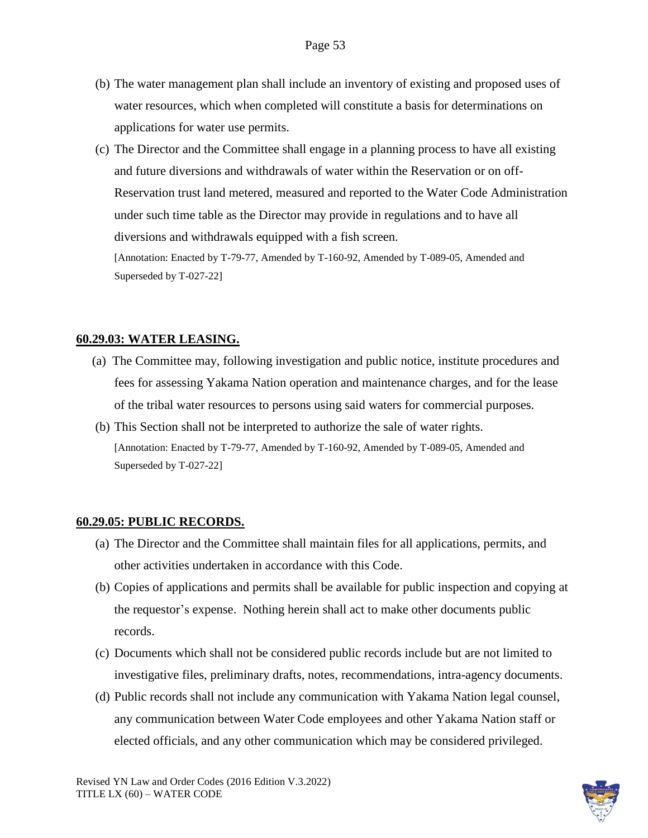- (b) The water management plan shall include an inventory of existing and proposed uses of water resources, which when completed will constitute a basis for determinations on applications for water use permits.
- (c) The Director and the Committee shall engage in a planning process to have all existing and future diversions and withdrawals of water within the Reservation or on off-Reservation trust land metered, measured and reported to the Water Code Administration under such time table as the Director may provide in regulations and to have all diversions and withdrawals equipped with a fish screen. [Annotation: Enacted by T-79-77, Amended by T-160-92, Amended by T-089-05, Amended and

Superseded by T-027-22]

#### **60.29.03: WATER LEASING.**

- (a) The Committee may, following investigation and public notice, institute procedures and fees for assessing Yakama Nation operation and maintenance charges, and for the lease of the tribal water resources to persons using said waters for commercial purposes.
- (b) This Section shall not be interpreted to authorize the sale of water rights. [Annotation: Enacted by T-79-77, Amended by T-160-92, Amended by T-089-05, Amended and Superseded by T-027-22]

#### **60.29.05: PUBLIC RECORDS.**

- (a) The Director and the Committee shall maintain files for all applications, permits, and other activities undertaken in accordance with this Code.
- (b) Copies of applications and permits shall be available for public inspection and copying at the requestor's expense. Nothing herein shall act to make other documents public records.
- (c) Documents which shall not be considered public records include but are not limited to investigative files, preliminary drafts, notes, recommendations, intra-agency documents.
- (d) Public records shall not include any communication with Yakama Nation legal counsel, any communication between Water Code employees and other Yakama Nation staff or elected officials, and any other communication which may be considered privileged.

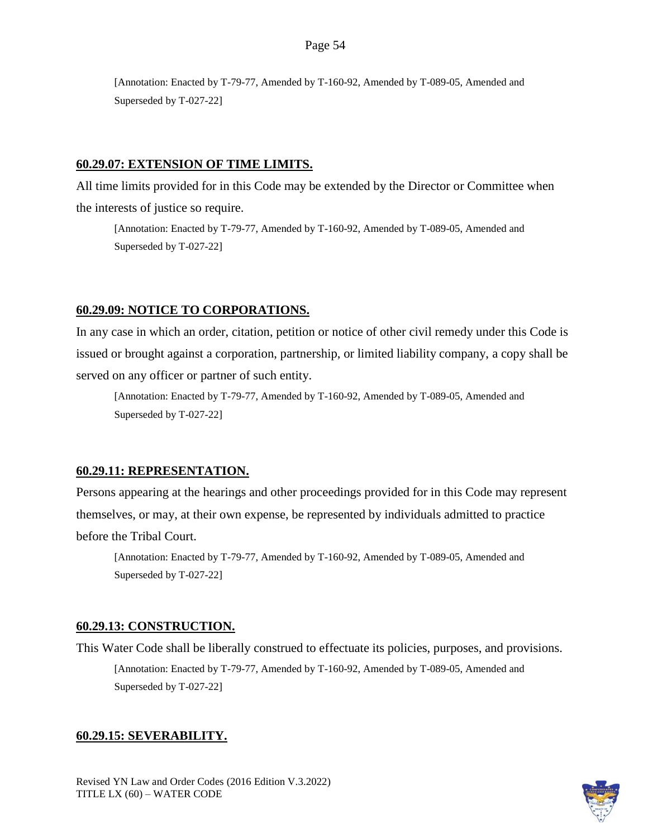### **60.29.07: EXTENSION OF TIME LIMITS.**

All time limits provided for in this Code may be extended by the Director or Committee when the interests of justice so require.

[Annotation: Enacted by T-79-77, Amended by T-160-92, Amended by T-089-05, Amended and Superseded by T-027-22]

### **60.29.09: NOTICE TO CORPORATIONS.**

In any case in which an order, citation, petition or notice of other civil remedy under this Code is issued or brought against a corporation, partnership, or limited liability company, a copy shall be served on any officer or partner of such entity.

[Annotation: Enacted by T-79-77, Amended by T-160-92, Amended by T-089-05, Amended and Superseded by T-027-22]

### **60.29.11: REPRESENTATION.**

Persons appearing at the hearings and other proceedings provided for in this Code may represent themselves, or may, at their own expense, be represented by individuals admitted to practice before the Tribal Court.

[Annotation: Enacted by T-79-77, Amended by T-160-92, Amended by T-089-05, Amended and Superseded by T-027-22]

### **60.29.13: CONSTRUCTION.**

This Water Code shall be liberally construed to effectuate its policies, purposes, and provisions. [Annotation: Enacted by T-79-77, Amended by T-160-92, Amended by T-089-05, Amended and Superseded by T-027-22]

### **60.29.15: SEVERABILITY.**

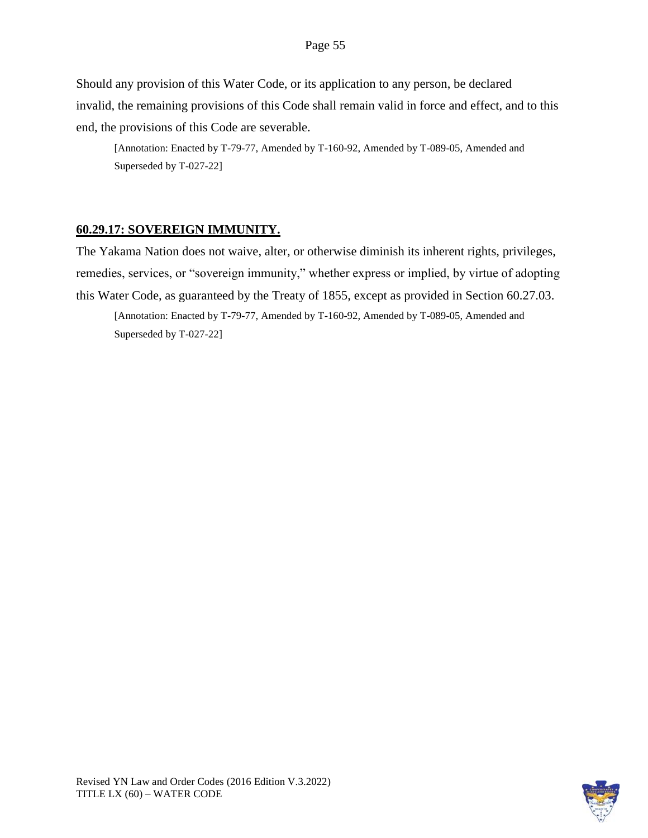Should any provision of this Water Code, or its application to any person, be declared invalid, the remaining provisions of this Code shall remain valid in force and effect, and to this end, the provisions of this Code are severable.

[Annotation: Enacted by T-79-77, Amended by T-160-92, Amended by T-089-05, Amended and Superseded by T-027-22]

# **60.29.17: SOVEREIGN IMMUNITY.**

The Yakama Nation does not waive, alter, or otherwise diminish its inherent rights, privileges, remedies, services, or "sovereign immunity," whether express or implied, by virtue of adopting this Water Code, as guaranteed by the Treaty of 1855, except as provided in Section 60.27.03.

[Annotation: Enacted by T-79-77, Amended by T-160-92, Amended by T-089-05, Amended and Superseded by T-027-22]

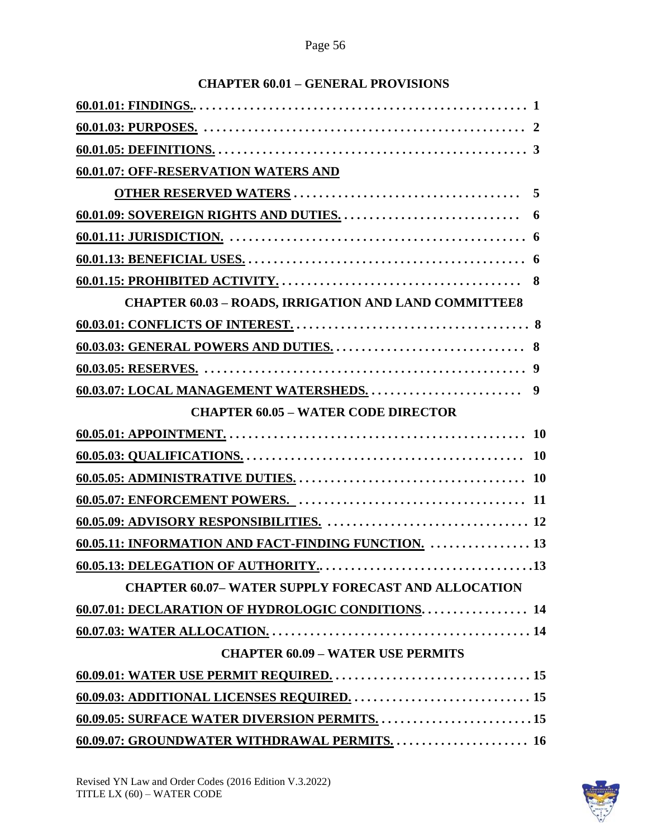| <b>60.01.07: OFF-RESERVATION WATERS AND</b>                  |  |
|--------------------------------------------------------------|--|
|                                                              |  |
|                                                              |  |
|                                                              |  |
|                                                              |  |
|                                                              |  |
| <b>CHAPTER 60.03 - ROADS, IRRIGATION AND LAND COMMITTEE8</b> |  |
|                                                              |  |
|                                                              |  |
|                                                              |  |
|                                                              |  |
| <b>CHAPTER 60.05 - WATER CODE DIRECTOR</b>                   |  |
|                                                              |  |
|                                                              |  |
|                                                              |  |
|                                                              |  |
|                                                              |  |
| 60.05.11: INFORMATION AND FACT-FINDING FUNCTION.  13         |  |
|                                                              |  |
| <b>CHAPTER 60.07-WATER SUPPLY FORECAST AND ALLOCATION</b>    |  |
| 60.07.01: DECLARATION OF HYDROLOGIC CONDITIONS 14            |  |
|                                                              |  |
| <b>CHAPTER 60.09 - WATER USE PERMITS</b>                     |  |
|                                                              |  |
|                                                              |  |
|                                                              |  |
|                                                              |  |

# **CHAPTER 60.01 – GENERAL PROVISIONS**

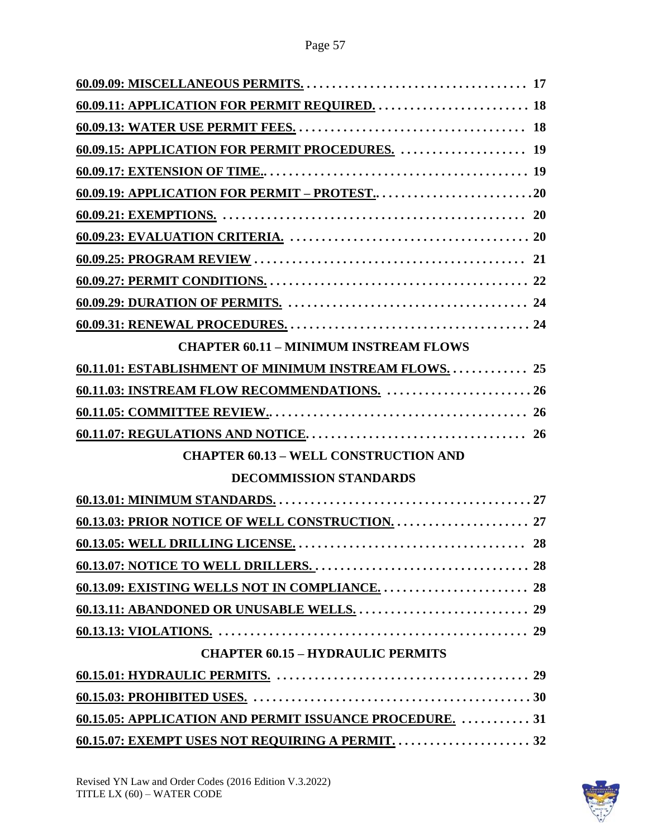| 60.09.15: APPLICATION FOR PERMIT PROCEDURES.  19         |
|----------------------------------------------------------|
|                                                          |
|                                                          |
|                                                          |
|                                                          |
|                                                          |
|                                                          |
|                                                          |
|                                                          |
| <b>CHAPTER 60.11 - MINIMUM INSTREAM FLOWS</b>            |
| 60.11.01: ESTABLISHMENT OF MINIMUM INSTREAM FLOWS.  25   |
| 60.11.03: INSTREAM FLOW RECOMMENDATIONS.  26             |
|                                                          |
|                                                          |
| <b>CHAPTER 60.13 - WELL CONSTRUCTION AND</b>             |
| <b>DECOMMISSION STANDARDS</b>                            |
|                                                          |
|                                                          |
|                                                          |
|                                                          |
|                                                          |
|                                                          |
|                                                          |
| <b>CHAPTER 60.15 - HYDRAULIC PERMITS</b>                 |
|                                                          |
|                                                          |
| 60.15.05: APPLICATION AND PERMIT ISSUANCE PROCEDURE.  31 |
|                                                          |

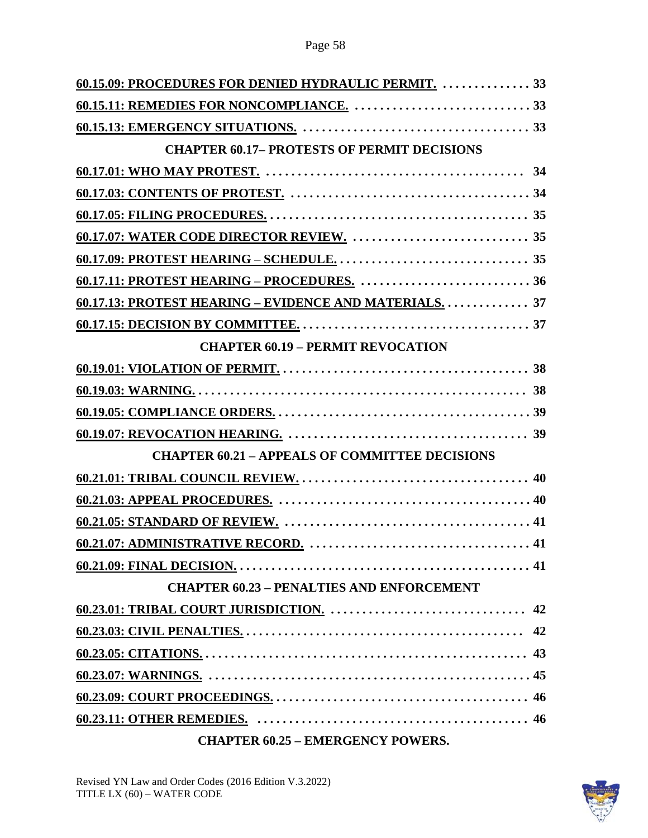| 60.15.09: PROCEDURES FOR DENIED HYDRAULIC PERMIT.  33  |  |
|--------------------------------------------------------|--|
|                                                        |  |
|                                                        |  |
| <b>CHAPTER 60.17- PROTESTS OF PERMIT DECISIONS</b>     |  |
|                                                        |  |
|                                                        |  |
|                                                        |  |
|                                                        |  |
|                                                        |  |
|                                                        |  |
| 60.17.13: PROTEST HEARING – EVIDENCE AND MATERIALS. 37 |  |
|                                                        |  |
| <b>CHAPTER 60.19 - PERMIT REVOCATION</b>               |  |
|                                                        |  |
|                                                        |  |
|                                                        |  |
|                                                        |  |
| <b>CHAPTER 60.21 - APPEALS OF COMMITTEE DECISIONS</b>  |  |
|                                                        |  |
|                                                        |  |
|                                                        |  |
|                                                        |  |
|                                                        |  |
| <b>CHAPTER 60.23 - PENALTIES AND ENFORCEMENT</b>       |  |
|                                                        |  |
|                                                        |  |
|                                                        |  |
|                                                        |  |
|                                                        |  |
|                                                        |  |

# **CHAPTER 60.25 – EMERGENCY POWERS.**